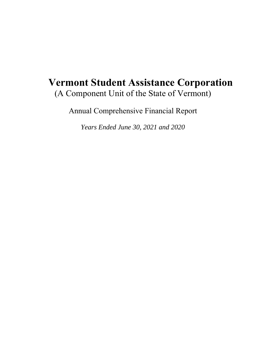# **Vermont Student Assistance Corporation**  (A Component Unit of the State of Vermont)

Annual Comprehensive Financial Report

*Years Ended June 30, 2021 and 2020*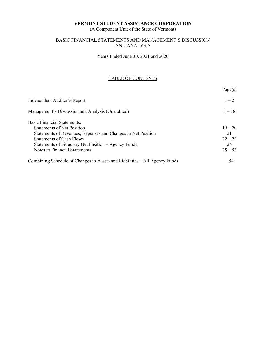(A Component Unit of the State of Vermont)

# BASIC FINANCIAL STATEMENTS AND MANAGEMENT'S DISCUSSION AND ANALYSIS

Years Ended June 30, 2021 and 2020

# TABLE OF CONTENTS

|                                                                            | Page(s)   |
|----------------------------------------------------------------------------|-----------|
| Independent Auditor's Report                                               | $1 - 2$   |
| Management's Discussion and Analysis (Unaudited)                           | $3 - 18$  |
| <b>Basic Financial Statements:</b>                                         |           |
| <b>Statements of Net Position</b>                                          | $19 - 20$ |
| Statements of Revenues, Expenses and Changes in Net Position               | 21        |
| <b>Statements of Cash Flows</b>                                            | $22 - 23$ |
| Statements of Fiduciary Net Position – Agency Funds                        | 24        |
| Notes to Financial Statements                                              | $25 - 53$ |
| Combining Schedule of Changes in Assets and Liabilities - All Agency Funds | 54        |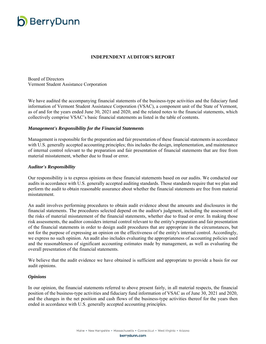

# **INDEPENDENT AUDITOR'S REPORT**

Board of Directors Vermont Student Assistance Corporation

We have audited the accompanying financial statements of the business-type activities and the fiduciary fund information of Vermont Student Assistance Corporation (VSAC), a component unit of the State of Vermont, as of and for the years ended June 30, 2021 and 2020, and the related notes to the financial statements, which collectively comprise VSAC's basic financial statements as listed in the table of contents.

#### *Management's Responsibility for the Financial Statements*

Management is responsible for the preparation and fair presentation of these financial statements in accordance with U.S. generally accepted accounting principles; this includes the design, implementation, and maintenance of internal control relevant to the preparation and fair presentation of financial statements that are free from material misstatement, whether due to fraud or error.

#### *Auditor's Responsibility*

Our responsibility is to express opinions on these financial statements based on our audits. We conducted our audits in accordance with U.S. generally accepted auditing standards. Those standards require that we plan and perform the audit to obtain reasonable assurance about whether the financial statements are free from material misstatement.

An audit involves performing procedures to obtain audit evidence about the amounts and disclosures in the financial statements. The procedures selected depend on the auditor's judgment, including the assessment of the risks of material misstatement of the financial statements, whether due to fraud or error. In making those risk assessments, the auditor considers internal control relevant to the entity's preparation and fair presentation of the financial statements in order to design audit procedures that are appropriate in the circumstances, but not for the purpose of expressing an opinion on the effectiveness of the entity's internal control. Accordingly, we express no such opinion. An audit also includes evaluating the appropriateness of accounting policies used and the reasonableness of significant accounting estimates made by management, as well as evaluating the overall presentation of the financial statements.

We believe that the audit evidence we have obtained is sufficient and appropriate to provide a basis for our audit opinions.

#### *Opinions*

In our opinion, the financial statements referred to above present fairly, in all material respects, the financial position of the business-type activities and fiduciary fund information of VSAC as of June 30, 2021 and 2020, and the changes in the net position and cash flows of the business-type activities thereof for the years then ended in accordance with U.S. generally accepted accounting principles.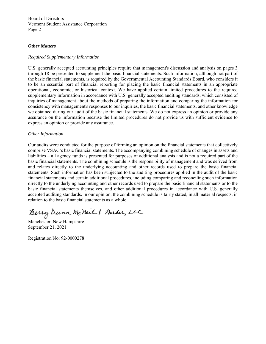Board of Directors Vermont Student Assistance Corporation Page 2

#### *Other Matters*

#### *Required Supplementary Information*

U.S. generally accepted accounting principles require that management's discussion and analysis on pages 3 through 18 be presented to supplement the basic financial statements. Such information, although not part of the basic financial statements, is required by the Governmental Accounting Standards Board, who considers it to be an essential part of financial reporting for placing the basic financial statements in an appropriate operational, economic, or historical context. We have applied certain limited procedures to the required supplementary information in accordance with U.S. generally accepted auditing standards, which consisted of inquiries of management about the methods of preparing the information and comparing the information for consistency with management's responses to our inquiries, the basic financial statements, and other knowledge we obtained during our audit of the basic financial statements. We do not express an opinion or provide any assurance on the information because the limited procedures do not provide us with sufficient evidence to express an opinion or provide any assurance.

#### *Other Information*

Our audits were conducted for the purpose of forming an opinion on the financial statements that collectively comprise VSAC's basic financial statements. The accompanying combining schedule of changes in assets and liabilities – all agency funds is presented for purposes of additional analysis and is not a required part of the basic financial statements. The combining schedule is the responsibility of management and was derived from and relates directly to the underlying accounting and other records used to prepare the basic financial statements. Such information has been subjected to the auditing procedures applied in the audit of the basic financial statements and certain additional procedures, including comparing and reconciling such information directly to the underlying accounting and other records used to prepare the basic financial statements or to the basic financial statements themselves, and other additional procedures in accordance with U.S. generally accepted auditing standards. In our opinion, the combining schedule is fairly stated, in all material respects, in relation to the basic financial statements as a whole.

Berry Dunn McNeil & Parker, LLC

Manchester, New Hampshire September 21, 2021

Registration No: 92-0000278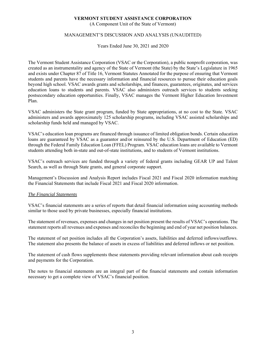(A Component Unit of the State of Vermont)

# MANAGEMENT'S DISCUSSION AND ANALYSIS (UNAUDITED)

Years Ended June 30, 2021 and 2020

The Vermont Student Assistance Corporation (VSAC or the Corporation), a public nonprofit corporation, was created as an instrumentality and agency of the State of Vermont (the State) by the State's Legislature in 1965 and exists under Chapter 87 of Title 16, Vermont Statutes Annotated for the purpose of ensuring that Vermont students and parents have the necessary information and financial resources to pursue their education goals beyond high school. VSAC awards grants and scholarships, and finances, guarantees, originates, and services education loans to students and parents. VSAC also administers outreach services to students seeking postsecondary education opportunities. Finally, VSAC manages the Vermont Higher Education Investment Plan.

VSAC administers the State grant program, funded by State appropriations, at no cost to the State. VSAC administers and awards approximately 125 scholarship programs, including VSAC assisted scholarships and scholarship funds held and managed by VSAC.

VSAC's education loan programs are financed through issuance of limited obligation bonds. Certain education loans are guaranteed by VSAC as a guarantor and/or reinsured by the U.S. Department of Education (ED) through the Federal Family Education Loan (FFEL) Program. VSAC education loans are available to Vermont students attending both in-state and out-of-state institutions, and to students of Vermont institutions.

VSAC's outreach services are funded through a variety of federal grants including GEAR UP and Talent Search, as well as through State grants, and general corporate support.

Management's Discussion and Analysis Report includes Fiscal 2021 and Fiscal 2020 information matching the Financial Statements that include Fiscal 2021 and Fiscal 2020 information.

# *The Financial Statements*

VSAC's financial statements are a series of reports that detail financial information using accounting methods similar to those used by private businesses, especially financial institutions.

The statement of revenues, expenses and changes in net position present the results of VSAC's operations. The statement reports all revenues and expenses and reconciles the beginning and end of year net position balances.

The statement of net position includes all the Corporation's assets, liabilities and deferred inflows/outflows. The statement also presents the balance of assets in excess of liabilities and deferred inflows or net position.

The statement of cash flows supplements these statements providing relevant information about cash receipts and payments for the Corporation.

The notes to financial statements are an integral part of the financial statements and contain information necessary to get a complete view of VSAC's financial position.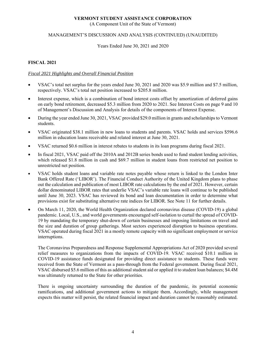(A Component Unit of the State of Vermont)

# MANAGEMENT'S DISCUSSION AND ANALYSIS (CONTINUED) (UNAUDITED)

#### Years Ended June 30, 2021 and 2020

# **FISCAL 2021**

# *Fiscal 2021 Highlights and Overall Financial Position*

- VSAC's total net surplus for the years ended June 30, 2021 and 2020 was \$5.9 million and \$7.5 million, respectively. VSAC's total net position increased to \$205.8 million.
- Interest expense, which is a combination of bond interest costs offset by amortization of deferred gains on early bond retirement, decreased \$5.3 million from 2020 to 2021. See Interest Costs on page 9 and 10 of Management's Discussion and Analysis for details of the components of Interest Expense.
- During the year ended June 30, 2021, VSAC provided \$29.0 million in grants and scholarships to Vermont students.
- VSAC originated \$38.1 million in new loans to students and parents. VSAC holds and services \$596.6 million in education loans receivable and related interest at June 30, 2021.
- VSAC returned \$0.6 million in interest rebates to students in its loan programs during fiscal 2021.
- In fiscal 2021, VSAC paid off the 2010A and 2012B series bonds used to fund student lending activities, which released \$1.8 million in cash and \$69.7 million in student loans from restricted net position to unrestricted net position.
- VSAC holds student loans and variable rate notes payable whose return is linked to the London Inter Bank Offered Rate ('LIBOR'). The Financial Conduct Authority of the United Kingdom plans to phase out the calculation and publication of most LIBOR rate calculations by the end of 2021. However, certain dollar denominated LIBOR rates that underlie VSAC's variable rate loans will continue to be published until June 30, 2023. VSAC has reviewed its bond and loan documentation in order to determine what provisions exist for substituting alternative rate indices for LIBOR. See Note 11 for further details.
- On March 11, 2020, the World Health Organization declared coronavirus disease (COVID-19) a global pandemic. Local, U.S., and world governments encouraged self-isolation to curtail the spread of COVID-19 by mandating the temporary shut-down of certain businesses and imposing limitations on travel and the size and duration of group gatherings. Most sectors experienced disruption to business operations. VSAC operated during fiscal 2021 in a mostly remote capacity with no significant employment or service interruptions.

The Coronavirus Preparedness and Response Supplemental Appropriations Act of 2020 provided several relief measures to organizations from the impacts of COVID-19. VSAC received \$10.1 million in COVID-19 assistance funds designated for providing direct assistance to students. These funds were received from the State of Vermont as a pass-through from the Federal government. During fiscal 2021, VSAC disbursed \$5.6 million of this as additional student aid or applied it to student loan balances; \$4.4M was ultimately returned to the State for other priorities.

There is ongoing uncertainty surrounding the duration of the pandemic, its potential economic ramifications, and additional government actions to mitigate them. Accordingly, while management expects this matter will persist, the related financial impact and duration cannot be reasonably estimated.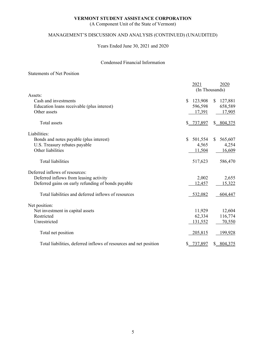(A Component Unit of the State of Vermont)

# MANAGEMENT'S DISCUSSION AND ANALYSIS (CONTINUED) (UNAUDITED)

Years Ended June 30, 2021 and 2020

# Condensed Financial Information

### Statements of Net Position

|                                                                   | 2021                    | 2020                    |
|-------------------------------------------------------------------|-------------------------|-------------------------|
|                                                                   |                         | (In Thousands)          |
| Assets:                                                           |                         |                         |
| Cash and investments                                              | 123,908<br><sup>S</sup> | 127,881<br><sup>S</sup> |
| Education loans receivable (plus interest)                        | 596,598                 | 658,589                 |
| Other assets                                                      | 17,391                  | 17,905                  |
| <b>Total</b> assets                                               | \$_737,897              | \$804,375               |
| Liabilities:                                                      |                         |                         |
| Bonds and notes payable (plus interest)                           | \$<br>501,554           | 565,607<br><sup>S</sup> |
| U.S. Treasury rebates payable                                     | 4,565                   | 4,254                   |
| Other liabilities                                                 | 11,504                  | 16,609                  |
| <b>Total liabilities</b>                                          | 517,623                 | 586,470                 |
| Deferred inflows of resources:                                    |                         |                         |
| Deferred inflows from leasing activity                            | 2,002                   | 2,655                   |
| Deferred gains on early refunding of bonds payable                | 12,457                  | 15,322                  |
| Total liabilities and deferred inflows of resources               | 532,082                 | 604,447                 |
| Net position:                                                     |                         |                         |
| Net investment in capital assets                                  | 11,929                  | 12,604                  |
| Restricted                                                        | 62,334                  | 116,774                 |
| Unrestricted                                                      | 131,552                 | 70,550                  |
| Total net position                                                | 205,815                 | 199,928                 |
| Total liabilities, deferred inflows of resources and net position | 737,897                 | \$804,375               |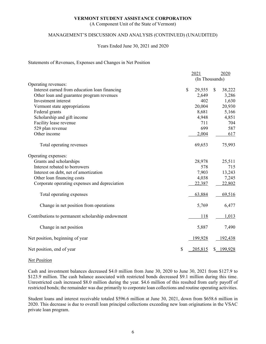(A Component Unit of the State of Vermont)

# MANAGEMENT'S DISCUSSION AND ANALYSIS (CONTINUED) (UNAUDITED)

#### Years Ended June 30, 2021 and 2020

#### Statements of Revenues, Expenses and Changes in Net Position

|                                                  | 2021                   | 2020           |
|--------------------------------------------------|------------------------|----------------|
|                                                  |                        | (In Thousands) |
| Operating revenues:                              |                        |                |
| Interest earned from education loan financing    | $\mathbb{S}$<br>29,555 | 38,222<br>\$   |
| Other loan and guarantee program revenues        | 2,649                  | 3,286          |
| Investment interest                              | 402                    | 1,630          |
| Vermont state appropriations                     | 20,004                 | 20,930         |
| Federal grants                                   | 8,681                  | 5,166          |
| Scholarship and gift income                      | 4,948                  | 4,851          |
| Facility lease revenue                           | 711                    | 704            |
| 529 plan revenue                                 | 699                    | 587            |
| Other income                                     | 2,004                  | 617            |
| Total operating revenues                         | 69,653                 | 75,993         |
| Operating expenses:                              |                        |                |
| Grants and scholarships                          | 28,978                 | 25,511         |
| Interest rebated to borrowers                    | 578                    | 715            |
| Interest on debt, net of amortization            | 7,903                  | 13,243         |
| Other loan financing costs                       | 4,038                  | 7,245          |
| Corporate operating expenses and depreciation    | 22,387                 | 22,802         |
| Total operating expenses                         | 63,884                 | 69,516         |
| Change in net position from operations           | 5,769                  | 6,477          |
| Contributions to permanent scholarship endowment | 118                    | 1,013          |
| Change in net position                           | 5,887                  | 7,490          |
| Net position, beginning of year                  | 199,928                | 192,438        |
| Net position, end of year                        | \$<br>205,815          | \$ 199,928     |

#### *Net Position*

Cash and investment balances decreased \$4.0 million from June 30, 2020 to June 30, 2021 from \$127.9 to \$123.9 million. The cash balance associated with restricted bonds decreased \$9.1 million during this time. Unrestricted cash increased \$8.0 million during the year. \$4.6 million of this resulted from early payoff of restricted bonds; the remainder was due primarily to corporate loan collections and routine operating activities.

Student loans and interest receivable totaled \$596.6 million at June 30, 2021, down from \$658.6 million in 2020. This decrease is due to overall loan principal collections exceeding new loan originations in the VSAC private loan program.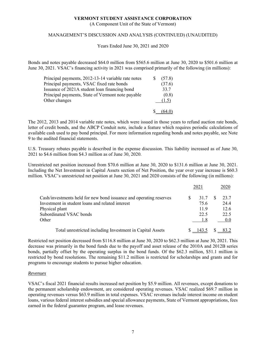(A Component Unit of the State of Vermont)

# MANAGEMENT'S DISCUSSION AND ANALYSIS (CONTINUED) (UNAUDITED)

Years Ended June 30, 2021 and 2020

Bonds and notes payable decreased \$64.0 million from \$565.6 million at June 30, 2020 to \$501.6 million at June 30, 2021. VSAC's financing activity in 2021 was comprised primarily of the following (in millions):

| Principal payments, 2012-13-14 variable rate notes | (57.8) |
|----------------------------------------------------|--------|
| Principal payments, VSAC fixed rate bonds          | (37.6) |
| Issuance of 2021A student loan financing bond      | 33.7   |
| Principal payments, State of Vermont note payable  | (0.8)  |
| Other changes                                      | (1.5)  |
|                                                    |        |

The 2012, 2013 and 2014 variable rate notes, which were issued in those years to refund auction rate bonds, letter of credit bonds, and the ABCP Conduit note, include a feature which requires periodic calculations of available cash used to pay bond principal. For more information regarding bonds and notes payable, see Note 9 to the audited financial statements.

U.S. Treasury rebates payable is described in the expense discussion. This liability increased as of June 30, 2021 to \$4.6 million from \$4.3 million as of June 30, 2020.

Unrestricted net position increased from \$70.6 million at June 30, 2020 to \$131.6 million at June 30, 2021. Including the Net Investment in Capital Assets section of Net Position, the year over year increase is \$60.3 million. VSAC's unrestricted net position at June 30, 2021 and 2020 consists of the following (in millions):

|                                                                    | 2021  | 2020 |
|--------------------------------------------------------------------|-------|------|
| Cash/investments held for new bond issuance and operating reserves | 31.7  | 23.7 |
| Investment in student loans and related interest                   | 75.6  | 24.4 |
| Physical plant                                                     | 11.9  | 12.6 |
| Subordinated VSAC bonds                                            | 22.5  | 22.5 |
| Other                                                              |       | 0.0  |
| Total unrestricted including Investment in Capital Assets          | 143.5 |      |

Restricted net position decreased from \$116.8 million at June 30, 2020 to \$62.3 million at June 30, 2021. This decrease was primarily in the bond funds due to the payoff and asset release of the 2010A and 2012B series bonds, partially offset by the operating surplus in the bond funds. Of the \$62.3 million, \$51.1 million is restricted by bond resolutions. The remaining \$11.2 million is restricted for scholarships and grants and for programs to encourage students to pursue higher education.

#### *Revenues*

VSAC's fiscal 2021 financial results increased net position by \$5.9 million. All revenues, except donations to the permanent scholarship endowment, are considered operating revenues. VSAC realized \$69.7 million in operating revenues versus \$63.9 million in total expenses. VSAC revenues include interest income on student loans, various federal interest subsidies and special allowance payments, State of Vermont appropriations, fees earned in the federal guarantee program, and lease revenues.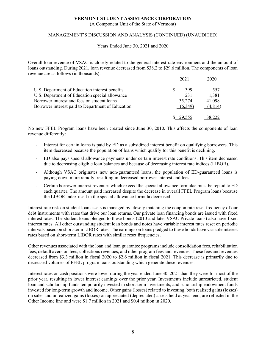(A Component Unit of the State of Vermont)

# MANAGEMENT'S DISCUSSION AND ANALYSIS (CONTINUED) (UNAUDITED)

Years Ended June 30, 2021 and 2020

Overall loan revenue of VSAC is closely related to the general interest rate environment and the amount of loans outstanding. During 2021, loan revenue decreased from \$38.2 to \$29.6 million. The components of loan revenue are as follows (in thousands):

|                                                   | 2021      |         |
|---------------------------------------------------|-----------|---------|
| U.S. Department of Education interest benefits    | 399<br>S. | 557     |
| U.S. Department of Education special allowance    | 231       | 1,381   |
| Borrower interest and fees on student loans       | 35,274    | 41,098  |
| Borrower interest paid to Department of Education | (6.349)   | (4,814) |
|                                                   |           |         |

No new FFEL Program loans have been created since June 30, 2010. This affects the components of loan revenue differently:

- Interest for certain loans is paid by ED as a subsidized interest benefit on qualifying borrowers. This item decreased because the population of loans which qualify for this benefit is declining.
- ED also pays special allowance payments under certain interest rate conditions. This item decreased due to decreasing eligible loan balances and because of decreasing interest rate indices (LIBOR).
- Although VSAC originates new non-guaranteed loans, the population of ED-guaranteed loans is paying down more rapidly, resulting in decreased borrower interest and fees.
- Certain borrower interest revenues which exceed the special allowance formulae must be repaid to ED each quarter. The amount paid increased despite the decrease in overall FFEL Program loans because the LIBOR index used in the special allowance formula decreased.

Interest rate risk on student loan assets is managed by closely matching the coupon rate reset frequency of our debt instruments with rates that drive our loan returns. Our private loan financing bonds are issued with fixed interest rates. The student loans pledged to these bonds (2010 and later VSAC Private loans) also have fixed interest rates. All other outstanding student loan bonds and notes have variable interest rates reset on periodic intervals based on short-term LIBOR rates. The earnings on loans pledged to these bonds have variable interest rates based on short-term LIBOR rates with similar reset frequencies.

Other revenues associated with the loan and loan guarantee programs include consolidation fees, rehabilitation fees, default aversion fees, collections revenues, and other program fees and revenues. These fees and revenues decreased from \$3.3 million in fiscal 2020 to \$2.6 million in fiscal 2021. This decrease is primarily due to decreased volumes of FFEL program loans outstanding which generate these revenues.

Interest rates on cash positions were lower during the year ended June 30, 2021 than they were for most of the prior year, resulting in lower interest earnings over the prior year. Investments include unrestricted, student loan and scholarship funds temporarily invested in short-term investments, and scholarship endowment funds invested for long-term growth and income. Other gains (losses) related to investing, both realized gains (losses) on sales and unrealized gains (losses) on appreciated (depreciated) assets held at year-end, are reflected in the Other Income line and were \$1.7 million in 2021 and \$0.4 million in 2020.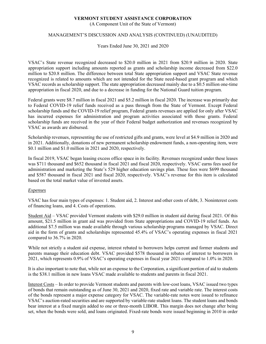(A Component Unit of the State of Vermont)

# MANAGEMENT'S DISCUSSION AND ANALYSIS (CONTINUED) (UNAUDITED)

Years Ended June 30, 2021 and 2020

VSAC's State revenue recognized decreased to \$20.0 million in 2021 from \$20.9 million in 2020. State appropriation support including amounts reported as grants and scholarship income decreased from \$22.0 million to \$20.8 million. The difference between total State appropriation support and VSAC State revenue recognized is related to amounts which are not intended for the State need-based grant program and which VSAC records as scholarship support. The state appropriation decreased mainly due to a \$0.5 million one-time appropriation in fiscal 2020, and due to a decrease in funding for the National Guard tuition program.

Federal grants were \$8.7 million in fiscal 2021 and \$5.2 million in fiscal 2020. The increase was primarily due to Federal COVID-19 relief funds received as a pass through from the State of Vermont. Except Federal scholarship funds and the COVID-19 relief program, Federal grants revenues are applied for only after VSAC has incurred expenses for administration and program activities associated with those grants. Federal scholarship funds are received in the year of their Federal budget authorization and revenues recognized by VSAC as awards are disbursed.

Scholarship revenues, representing the use of restricted gifts and grants, were level at \$4.9 million in 2020 and in 2021. Additionally, donations of new permanent scholarship endowment funds, a non-operating item, were \$0.1 million and \$1.0 million in 2021 and 2020, respectively.

In fiscal 2019, VSAC began leasing excess office space in its facility. Revenues recognized under these leases was \$711 thousand and \$652 thousand in fiscal 2021 and fiscal 2020, respectively. VSAC earns fees used for administration and marketing the State's 529 higher education savings plan. These fees were \$699 thousand and \$587 thousand in fiscal 2021 and fiscal 2020, respectively. VSAC's revenue for this item is calculated based on the total market value of invested assets.

# *Expenses*

VSAC has four main types of expenses: 1. Student aid, 2. Interest and other costs of debt, 3. Noninterest costs of financing loans, and 4. Costs of operations.

Student Aid – VSAC provided Vermont students with \$29.0 million in student aid during fiscal 2021. Of this amount, \$21.5 million in grant aid was provided from State appropriations and COVID-19 relief funds. An additional \$7.5 million was made available through various scholarship programs managed by VSAC. Direct aid in the form of grants and scholarships represented 45.4% of VSAC's operating expenses in fiscal 2021 compared to 36.7% in 2020.

While not strictly a student aid expense, interest rebated to borrowers helps current and former students and parents manage their education debt. VSAC provided \$578 thousand in rebates of interest to borrowers in 2021, which represents 0.9% of VSAC's operating expenses in fiscal year 2021 compared to 1.0% in 2020.

It is also important to note that, while not an expense to the Corporation, a significant portion of aid to students is the \$38.1 million in new loans VSAC made available to students and parents in fiscal 2021.

Interest Costs – In order to provide Vermont students and parents with low-cost loans, VSAC issued two types of bonds that remain outstanding as of June 30, 2021 and 2020, fixed rate and variable rate. The interest costs of the bonds represent a major expense category for VSAC. The variable-rate notes were issued to refinance VSAC's auction-rated securities and are supported by variable-rate student loans. The student loans and bonds bear interest at a fixed margin added to one or three-month LIBOR. This margin does not change after being set, when the bonds were sold, and loans originated. Fixed-rate bonds were issued beginning in 2010 in order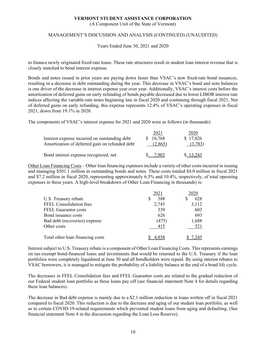(A Component Unit of the State of Vermont)

### MANAGEMENT'S DISCUSSION AND ANALYSIS (CONTINUED) (UNAUDITED)

Years Ended June 30, 2021 and 2020

to finance newly originated fixed-rate loans. These rate structures result in student loan interest revenue that is closely matched to bond interest expense.

Bonds and notes issued in prior years are paying down faster than VSAC's new fixed-rate bond issuances, resulting in a decrease in debt outstanding during the year. This decrease in VSAC's bond and note balances is one driver of the decrease in interest expense year over year. Additionally, VSAC's interest costs before the amortization of deferred gains on early refunding of bonds payable decreased due to lower LIBOR interest rate indices affecting the variable-rate notes beginning late in fiscal 2020 and continuing through fiscal 2021. Net of deferred gains on early refunding, this expense represents 12.4% of VSAC's operating expenses in fiscal 2021, down from 19.1% in 2020.

The components of VSAC's interest expense for 2021 and 2020 were as follows (in thousands):

| Interest expense incurred on outstanding debt<br>Amortization of deferred gain on refunded debt | 2021<br>10,768<br>S.<br>(2,865) | 2020<br>\$17,026<br>(3,783) |
|-------------------------------------------------------------------------------------------------|---------------------------------|-----------------------------|
| Bond interest expense recognized, net                                                           | 7 903                           | \$13,243                    |

Other Loan Financing Costs – Other loan financing expenses include a variety of other costs incurred in issuing and managing \$501.1 million in outstanding bonds and notes. These costs totaled \$4.0 million in fiscal 2021 and \$7.2 million in fiscal 2020, representing approximately 6.3% and 10.4%, respectively, of total operating expenses in these years. A high-level breakdown of Other Loan Financing in thousands) is:

|                                  | 2021  | 2020  |
|----------------------------------|-------|-------|
| U.S. Treasury rebate             | 388   | 628   |
| FFEL Consolidation fees          | 2,745 | 3,112 |
| <b>FFEL Guarantor costs</b>      | 339   | 603   |
| Bond issuance costs              | 626   | 693   |
| Bad debt (recoveries) expense    | (475) | 1,688 |
| Other costs                      | 415   | 521   |
| Total other loan financing costs |       |       |

Interest subject to U.S. Treasury rebate is a component of Other Loan Financing Costs. This represents earnings on tax-exempt bond-financed loans and investments that would be returned to the U.S. Treasury if the loan portfolios were completely liquidated at June 30 and all bondholders were repaid. By using interest rebates to VSAC borrowers, it is managed to mitigate the probability of a liability balance at the end of a bond life cycle.

The decreases in FFEL Consolidation fees and FFEL Guarantor costs are related to the gradual reduction of our Federal student loan portfolio as these loans pay off (see financial statement Note 4 for details regarding these loan balances).

The decrease in Bad debt expense is mainly due to a \$2.1 million reduction in loans written off in fiscal 2021 compared to fiscal 2020. This reduction is due to the decrease and aging of our student loan portfolio, as well as to certain COVID-19-related requirements which prevented student loans from aging and defaulting. (See financial statement Note 4 in the discussion regarding the Loan Loss Reserve).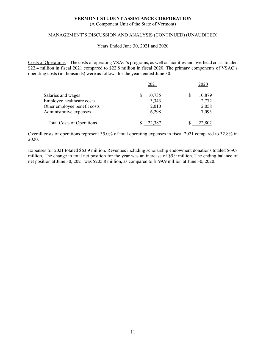(A Component Unit of the State of Vermont)

# MANAGEMENT'S DISCUSSION AND ANALYSIS (CONTINUED) (UNAUDITED)

Years Ended June 30, 2021 and 2020

Costs of Operations – The costs of operating VSAC's programs, as well as facilities and overhead costs, totaled \$22.4 million in fiscal 2021 compared to \$22.8 million in fiscal 2020. The primary components of VSAC's operating costs (in thousands) were as follows for the years ended June 30:

|                                  | 2021   | 2020   |
|----------------------------------|--------|--------|
| Salaries and wages               | 10,735 | 10,879 |
| Employee healthcare costs        | 3,343  | 2,772  |
| Other employee benefit costs     | 2,010  | 2,058  |
| Administrative expenses          | 6,298  | 7,093  |
| <b>Total Costs of Operations</b> |        |        |

Overall costs of operations represent 35.0% of total operating expenses in fiscal 2021 compared to 32.8% in 2020.

Expenses for 2021 totaled \$63.9 million. Revenues including scholarship endowment donations totaled \$69.8 million. The change in total net position for the year was an increase of \$5.9 million. The ending balance of net position at June 30, 2021 was \$205.8 million, as compared to \$199.9 million at June 30, 2020.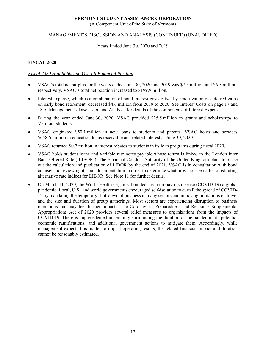(A Component Unit of the State of Vermont)

# MANAGEMENT'S DISCUSSION AND ANALYSIS (CONTINUED) (UNAUDITED)

#### Years Ended June 30, 2020 and 2019

# **FISCAL 2020**

# *Fiscal 2020 Highlights and Overall Financial Position*

- VSAC's total net surplus for the years ended June 30, 2020 and 2019 was \$7.5 million and \$6.5 million, respectively. VSAC's total net position increased to \$199.9 million.
- Interest expense, which is a combination of bond interest costs offset by amortization of deferred gains on early bond retirement, decreased \$4.6 million from 2019 to 2020. See Interest Costs on page 17 and 18 of Management's Discussion and Analysis for details of the components of Interest Expense.
- During the year ended June 30, 2020, VSAC provided \$25.5 million in grants and scholarships to Vermont students.
- VSAC originated \$50.1 million in new loans to students and parents. VSAC holds and services \$658.6 million in education loans receivable and related interest at June 30, 2020.
- VSAC returned \$0.7 million in interest rebates to students in its loan programs during fiscal 2020.
- VSAC holds student loans and variable rate notes payable whose return is linked to the London Inter Bank Offered Rate ('LIBOR'). The Financial Conduct Authority of the United Kingdom plans to phase out the calculation and publication of LIBOR by the end of 2021. VSAC is in consultation with bond counsel and reviewing its loan documentation in order to determine what provisions exist for substituting alternative rate indices for LIBOR. See Note 11 for further details.
- On March 11, 2020, the World Health Organization declared coronavirus disease (COVID-19) a global pandemic. Local, U.S., and world governments encouraged self-isolation to curtail the spread of COVID-19 by mandating the temporary shut-down of business in many sectors and imposing limitations on travel and the size and duration of group gatherings. Most sectors are experiencing disruption to business operations and may feel further impacts. The Coronavirus Preparedness and Response Supplemental Appropriations Act of 2020 provides several relief measures to organizations from the impacts of COVID-19. There is unprecedented uncertainty surrounding the duration of the pandemic, its potential economic ramifications, and additional government actions to mitigate them. Accordingly, while management expects this matter to impact operating results, the related financial impact and duration cannot be reasonably estimated.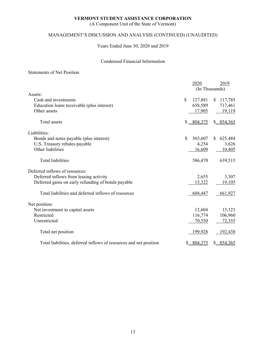(A Component Unit of the State of Vermont)

# MANAGEMENT'S DISCUSSION AND ANALYSIS (CONTINUED) (UNAUDITED)

Years Ended June 30, 2020 and 2019

# Condensed Financial Information

# Statements of Net Position

|                                                                   | 2020          | 2019                    |
|-------------------------------------------------------------------|---------------|-------------------------|
|                                                                   |               | (In Thousands)          |
| Assets:                                                           |               |                         |
| Cash and investments                                              | \$<br>127,881 | 117,785<br><sup>S</sup> |
| Education loans receivable (plus interest)                        | 658,589       | 717,461                 |
| Other assets                                                      | 17,905        | 19,119                  |
| <b>Total</b> assets                                               | $$ -804,375$  | \$8, 854, 365           |
| Liabilities:                                                      |               |                         |
| Bonds and notes payable (plus interest)                           | \$<br>565,607 | 625,484<br>\$           |
| U.S. Treasury rebates payable                                     | 4,254         | 3,626                   |
| Other liabilities                                                 | 16,609        | 10,405                  |
| Total liabilities                                                 | 586,470       | 639,515                 |
| Deferred inflows of resources:                                    |               |                         |
| Deferred inflows from leasing activity                            | 2,655         | 3,307                   |
| Deferred gains on early refunding of bonds payable                | 15,322        | 19,105                  |
| Total liabilities and deferred inflows of resources               | 604,447       | 661,927                 |
| Net position:                                                     |               |                         |
| Net investment in capital assets                                  | 12,604        | 13,123                  |
| Restricted                                                        | 116,774       | 106,960                 |
| Unrestricted                                                      | 70,550        | 72,355                  |
| Total net position                                                | 199,928       | <u>192,438</u>          |
| Total liabilities, deferred inflows of resources and net position | \$804,375     | \$8, 854, 365           |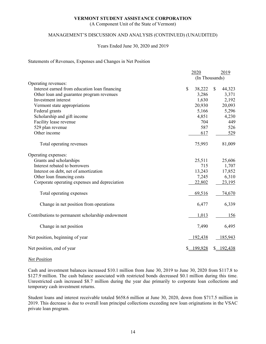(A Component Unit of the State of Vermont)

# MANAGEMENT'S DISCUSSION AND ANALYSIS (CONTINUED) (UNAUDITED)

#### Years Ended June 30, 2020 and 2019

#### Statements of Revenues, Expenses and Changes in Net Position

|                                                  | 2020                   | 2019                    |
|--------------------------------------------------|------------------------|-------------------------|
|                                                  | (In Thousands)         |                         |
| Operating revenues:                              |                        |                         |
| Interest earned from education loan financing    | $\mathbb{S}$<br>38,222 | 44,323<br><sup>\$</sup> |
| Other loan and guarantee program revenues        | 3,286                  | 3,371                   |
| Investment interest                              | 1,630                  | 2,192                   |
| Vermont state appropriations                     | 20,930                 | 20,093                  |
| Federal grants                                   | 5,166                  | 5,296                   |
| Scholarship and gift income                      | 4,851                  | 4,230                   |
| Facility lease revenue                           | 704                    | 449                     |
| 529 plan revenue                                 | 587                    | 526                     |
| Other income                                     | 617                    | 529                     |
| Total operating revenues                         | 75,993                 | 81,009                  |
| Operating expenses:                              |                        |                         |
| Grants and scholarships                          | 25,511                 | 25,606                  |
| Interest rebated to borrowers                    | 715                    | 1,707                   |
| Interest on debt, net of amortization            | 13,243                 | 17,852                  |
| Other loan financing costs                       | 7,245                  | 6,310                   |
| Corporate operating expenses and depreciation    | 22,802                 | 23,195                  |
| Total operating expenses                         | 69,516                 | 74,670                  |
| Change in net position from operations           | 6,477                  | 6,339                   |
| Contributions to permanent scholarship endowment | 1,013                  | 156                     |
| Change in net position                           | 7,490                  | 6,495                   |
| Net position, beginning of year                  | 192,438                | 185,943                 |
| Net position, end of year                        | \$ 199,928             | \$ 192,438              |

#### *Net Position*

Cash and investment balances increased \$10.1 million from June 30, 2019 to June 30, 2020 from \$117.8 to \$127.9 million. The cash balance associated with restricted bonds decreased \$0.1 million during this time. Unrestricted cash increased \$8.7 million during the year due primarily to corporate loan collections and temporary cash investment returns.

Student loans and interest receivable totaled \$658.6 million at June 30, 2020, down from \$717.5 million in 2019. This decrease is due to overall loan principal collections exceeding new loan originations in the VSAC private loan program.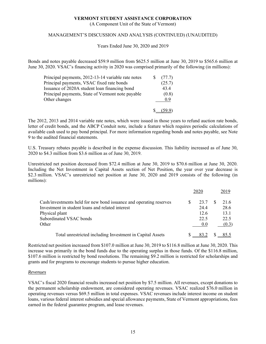(A Component Unit of the State of Vermont)

# MANAGEMENT'S DISCUSSION AND ANALYSIS (CONTINUED) (UNAUDITED)

Years Ended June 30, 2020 and 2019

Bonds and notes payable decreased \$59.9 million from \$625.5 million at June 30, 2019 to \$565.6 million at June 30, 2020. VSAC's financing activity in 2020 was comprised primarily of the following (in millions):

| Principal payments, 2012-13-14 variable rate notes | (77.7) |
|----------------------------------------------------|--------|
| Principal payments, VSAC fixed rate bonds          | (25.7) |
| Issuance of 2020A student loan financing bond      | 43.4   |
| Principal payments, State of Vermont note payable  | (0.8)  |
| Other changes                                      | 0.9    |
|                                                    |        |

The 2012, 2013 and 2014 variable rate notes, which were issued in those years to refund auction rate bonds, letter of credit bonds, and the ABCP Conduit note, include a feature which requires periodic calculations of available cash used to pay bond principal. For more information regarding bonds and notes payable, see Note 9 to the audited financial statements.

U.S. Treasury rebates payable is described in the expense discussion. This liability increased as of June 30, 2020 to \$4.3 million from \$3.6 million as of June 30, 2019.

Unrestricted net position decreased from \$72.4 million at June 30, 2019 to \$70.6 million at June 30, 2020. Including the Net Investment in Capital Assets section of Net Position, the year over year decrease is \$2.3 million. VSAC's unrestricted net position at June 30, 2020 and 2019 consists of the following (in millions):

|                                                                    | 2020 | 2019  |
|--------------------------------------------------------------------|------|-------|
| Cash/investments held for new bond issuance and operating reserves | 23.7 | 21.6  |
| Investment in student loans and related interest                   | 24.4 | 28.6  |
| Physical plant                                                     | 12.6 | 13.1  |
| Subordinated VSAC bonds                                            | 22.5 | 22.5  |
| Other                                                              | 0.0  | (0.3) |
| Total unrestricted including Investment in Capital Assets          |      |       |

Restricted net position increased from \$107.0 million at June 30, 2019 to \$116.8 million at June 30, 2020. This increase was primarily in the bond funds due to the operating surplus in those funds. Of the \$116.8 million, \$107.6 million is restricted by bond resolutions. The remaining \$9.2 million is restricted for scholarships and grants and for programs to encourage students to pursue higher education.

#### *Revenues*

VSAC's fiscal 2020 financial results increased net position by \$7.5 million. All revenues, except donations to the permanent scholarship endowment, are considered operating revenues. VSAC realized \$76.0 million in operating revenues versus \$69.5 million in total expenses. VSAC revenues include interest income on student loans, various federal interest subsidies and special allowance payments, State of Vermont appropriations, fees earned in the federal guarantee program, and lease revenues.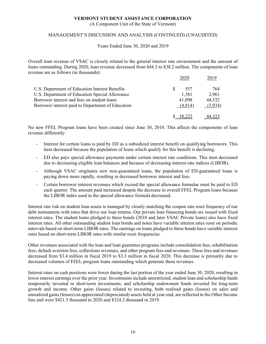(A Component Unit of the State of Vermont)

# MANAGEMENT'S DISCUSSION AND ANALYSIS (CONTINUED) (UNAUDITED)

Years Ended June 30, 2020 and 2019

Overall loan revenue of VSAC is closely related to the general interest rate environment and the amount of loans outstanding. During 2020, loan revenue decreased from \$44.3 to \$38.2 million. The components of loan revenue are as follows (in thousands):

|                                                   | 2020    | 2019    |
|---------------------------------------------------|---------|---------|
| U.S. Department of Education Interest Benefits    | 557     | 764     |
| U.S. Department of Education Special Allowance    | 1,381   | 2,961   |
| Borrower interest and fees on student loans       | 41,098  | 44,532  |
| Borrower interest paid to Department of Education | (4,814) | (3,934) |
|                                                   |         |         |

No new FFEL Program loans have been created since June 30, 2010. This affects the components of loan revenue differently:

- Interest for certain loans is paid by ED as a subsidized interest benefit on qualifying borrowers. This item decreased because the population of loans which qualify for this benefit is declining.
- ED also pays special allowance payments under certain interest rate conditions. This item decreased due to decreasing eligible loan balances and because of decreasing interest rate indices (LIBOR).
- Although VSAC originates new non-guaranteed loans, the population of ED-guaranteed loans is paying down more rapidly, resulting in decreased borrower interest and fees.
- Certain borrower interest revenues which exceed the special allowance formulae must be paid to ED each quarter. The amount paid increased despite the decrease in overall FFEL Program loans because the LIBOR index used in the special allowance formula decreased.

Interest rate risk on student loan assets is managed by closely matching the coupon rate reset frequency of our debt instruments with rates that drive our loan returns. Our private loan financing bonds are issued with fixed interest rates. The student loans pledged to these bonds (2010 and later VSAC Private loans) also have fixed interest rates. All other outstanding student loan bonds and notes have variable interest rates reset on periodic intervals based on short-term LIBOR rates. The earnings on loans pledged to these bonds have variable interest rates based on short-term LIBOR rates with similar reset frequencies.

Other revenues associated with the loan and loan guarantee programs include consolidation fees, rehabilitation fees, default aversion fees, collections revenues, and other program fees and revenues. These fees and revenues decreased from \$3.4 million in fiscal 2019 to \$3.3 million in fiscal 2020. This decrease is primarily due to decreased volumes of FFEL program loans outstanding which generate these revenues.

Interest rates on cash positions were lower during the last portion of the year ended June 30, 2020, resulting in lower interest earnings over the prior year. Investments include unrestricted, student loan and scholarship funds temporarily invested in short-term investments, and scholarship endowment funds invested for long-term growth and income. Other gains (losses) related to investing, both realized gains (losses) on sales and unrealized gains (losses) on appreciated (depreciated) assets held at year-end, are reflected in the Other Income line and were \$421.5 thousand in 2020 and \$324.2 thousand in 2019.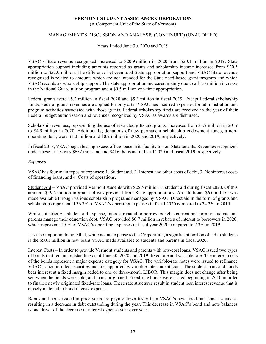(A Component Unit of the State of Vermont)

# MANAGEMENT'S DISCUSSION AND ANALYSIS (CONTINUED) (UNAUDITED)

Years Ended June 30, 2020 and 2019

VSAC's State revenue recognized increased to \$20.9 million in 2020 from \$20.1 million in 2019. State appropriation support including amounts reported as grants and scholarship income increased from \$20.5 million to \$22.0 million. The difference between total State appropriation support and VSAC State revenue recognized is related to amounts which are not intended for the State need-based grant program and which VSAC records as scholarship support. The state appropriation increased mainly due to a \$1.0 million increase in the National Guard tuition program and a \$0.5 million one-time appropriation.

Federal grants were \$5.2 million in fiscal 2020 and \$5.3 million in fiscal 2019. Except Federal scholarship funds, Federal grants revenues are applied for only after VSAC has incurred expenses for administration and program activities associated with those grants. Federal scholarship funds are received in the year of their Federal budget authorization and revenues recognized by VSAC as awards are disbursed.

Scholarship revenues, representing the use of restricted gifts and grants, increased from \$4.2 million in 2019 to \$4.9 million in 2020. Additionally, donations of new permanent scholarship endowment funds, a nonoperating item, were \$1.0 million and \$0.2 million in 2020 and 2019, respectively.

In fiscal 2018, VSAC began leasing excess office space in its facility to non-State tenants. Revenues recognized under these leases was \$652 thousand and \$416 thousand in fiscal 2020 and fiscal 2019, respectively.

#### *Expenses*

VSAC has four main types of expenses: 1. Student aid, 2. Interest and other costs of debt, 3. Noninterest costs of financing loans, and 4. Costs of operations.

Student Aid – VSAC provided Vermont students with \$25.5 million in student aid during fiscal 2020. Of this amount, \$19.5 million in grant aid was provided from State appropriations. An additional \$6.0 million was made available through various scholarship programs managed by VSAC. Direct aid in the form of grants and scholarships represented 36.7% of VSAC's operating expenses in fiscal 2020 compared to 34.3% in 2019.

While not strictly a student aid expense, interest rebated to borrowers helps current and former students and parents manage their education debt. VSAC provided \$0.7 million in rebates of interest to borrowers in 2020, which represents 1.0% of VSAC's operating expenses in fiscal year 2020 compared to 2.3% in 2019.

It is also important to note that, while not an expense to the Corporation, a significant portion of aid to students is the \$50.1 million in new loans VSAC made available to students and parents in fiscal 2020.

Interest Costs – In order to provide Vermont students and parents with low-cost loans, VSAC issued two types of bonds that remain outstanding as of June 30, 2020 and 2019, fixed rate and variable rate. The interest costs of the bonds represent a major expense category for VSAC. The variable-rate notes were issued to refinance VSAC's auction-rated securities and are supported by variable-rate student loans. The student loans and bonds bear interest at a fixed margin added to one or three-month LIBOR. This margin does not change after being set, when the bonds were sold, and loans originated. Fixed-rate bonds were issued beginning in 2010 in order to finance newly originated fixed-rate loans. These rate structures result in student loan interest revenue that is closely matched to bond interest expense.

Bonds and notes issued in prior years are paying down faster than VSAC's new fixed-rate bond issuances, resulting in a decrease in debt outstanding during the year. This decrease in VSAC's bond and note balances is one driver of the decrease in interest expense year over year.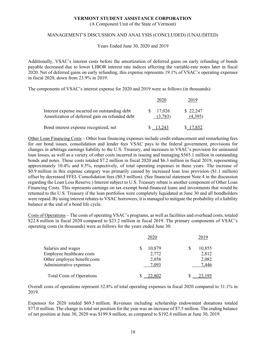(A Component Unit of the State of Vermont)

#### MANAGEMENT'S DISCUSSION AND ANALYSIS (CONCLUDED) (UNAUDITED)

Years Ended June 30, 2020 and 2019

Additionally, VSAC's interest costs before the amortization of deferred gains on early refunding of bonds payable decreased due to lower LIBOR interest rate indices affecting the variable-rate notes later in fiscal 2020. Net of deferred gains on early refunding, this expense represents 19.1% of VSAC's operating expenses in fiscal 2020, down from 23.9% in 2019.

The components of VSAC's interest expense for 2020 and 2019 were as follows (in thousands):

| Interest expense incurred on outstanding debt<br>Amortization of deferred gain on refunded debt | 17,026<br>(3,783) | \$ 22,247<br>(4.395) |
|-------------------------------------------------------------------------------------------------|-------------------|----------------------|
| Bond interest expense recognized, net                                                           |                   |                      |

Other Loan Financing Costs – Other loan financing expenses include credit enhancement and remarketing fees for our bond issues, consolidation and lender fees VSAC pays to the federal government, provisions for changes in arbitrage earnings liability to the U.S. Treasury, and increases in VSAC's provision for uninsured loan losses, as well as a variety of other costs incurred in issuing and managing \$565.1 million in outstanding bonds and notes. These costs totaled \$7.2 million in fiscal 2020 and \$6.3 million in fiscal 2019, representing approximately 10.4% and 8.5%, respectively, of total operating expenses in these years. The increase of \$0.9 million in this expense category was primarily caused by increased loan loss provision (\$1.1 million) offset by decreased FFEL Consolidation fees (\$0.5 million). (See financial statement Note 4 in the discussion regarding the Loan Loss Reserve.) Interest subject to U.S. Treasury rebate is another component of Other Loan Financing Costs. This represents earnings on tax-exempt bond-financed loans and investments that would be returned to the U.S. Treasury if the loan portfolios were completely liquidated at June 30 and all bondholders were repaid. By using interest rebates to VSAC borrowers, it is managed to mitigate the probability of a liability balance at the end of a bond life cycle.

Costs of Operations – The costs of operating VSAC's programs, as well as facilities and overhead costs, totaled \$22.8 million in fiscal 2020 compared to \$23.2 million in fiscal 2019. The primary components of VSAC's operating costs (in thousands) were as follows for the years ended June 30:

|                                  | 2020   | 2019   |
|----------------------------------|--------|--------|
| Salaries and wages               | 10,879 | 10,855 |
| Employee healthcare costs        | 2,772  | 2,812  |
| Other employee benefit costs     | 2,058  | 2,082  |
| Administrative expenses          | 7,093  | 7,446  |
| <b>Total Costs of Operations</b> | 22,802 |        |

Overall costs of operations represent 32.8% of total operating expenses in fiscal 2020 compared to 31.1% in 2019.

Expenses for 2020 totaled \$69.5 million. Revenues including scholarship endowment donations totaled \$77.0 million. The change in total net position for the year was an increase of \$7.5 million. The ending balance of net position at June 30, 2020 was \$199.9 million, as compared to \$192.4 million at June 30, 2019.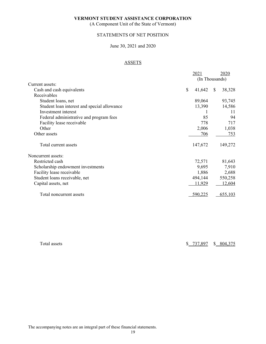(A Component Unit of the State of Vermont)

# STATEMENTS OF NET POSITION

#### June 30, 2021 and 2020

# ASSETS

|                                             | 2021                   | 2020           |
|---------------------------------------------|------------------------|----------------|
|                                             |                        | (In Thousands) |
| Current assets:                             |                        |                |
| Cash and cash equivalents                   | $\mathbb{S}$<br>41,642 | 38,328<br>-S   |
| Receivables                                 |                        |                |
| Student loans, net                          | 89,064                 | 93,745         |
| Student loan interest and special allowance | 13,390                 | 14,586         |
| Investment interest                         |                        | 11             |
| Federal administrative and program fees     | 85                     | 94             |
| Facility lease receivable                   | 778                    | 717            |
| Other                                       | 2,006                  | 1,038          |
| Other assets                                | 706                    | 753            |
| Total current assets                        | 147,672                | 149,272        |
| Noncurrent assets:                          |                        |                |
| Restricted cash                             | 72,571                 | 81,643         |
| Scholarship endowment investments           | 9,695                  | 7,910          |
| Facility lease receivable                   | 1,886                  | 2,688          |
| Student loans receivable, net               | 494,144                | 550,258        |
| Capital assets, net                         | 11,929                 | 12,604         |
| Total noncurrent assets                     | 590,225                | 655,103        |

Total assets \$ 737,897 \$ 804,375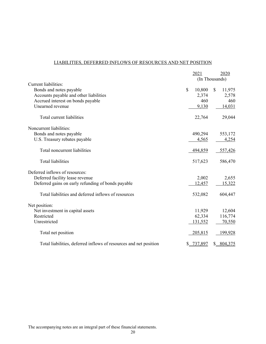# LIABILITIES, DEFERRED INFLOWS OF RESOURCES AND NET POSITION

|                                                                   | 2021           |              | 2020      |
|-------------------------------------------------------------------|----------------|--------------|-----------|
|                                                                   | (In Thousands) |              |           |
| Current liabilities:                                              |                |              |           |
| Bonds and notes payable                                           | \$<br>10,800   | $\mathbb{S}$ | 11,975    |
| Accounts payable and other liabilities                            | 2,374          |              | 2,578     |
| Accrued interest on bonds payable                                 | 460            |              | 460       |
| Unearned revenue                                                  | 9,130          |              | 14,031    |
| Total current liabilities                                         | 22,764         |              | 29,044    |
| Noncurrent liabilities:                                           |                |              |           |
| Bonds and notes payable                                           | 490,294        |              | 553,172   |
| U.S. Treasury rebates payable                                     | 4,565          |              | 4,254     |
| Total noncurrent liabilities                                      | 494,859        |              | 557,426   |
| <b>Total liabilities</b>                                          | 517,623        |              | 586,470   |
| Deferred inflows of resources:                                    |                |              |           |
| Deferred facility lease revenue                                   | 2,002          |              | 2,655     |
| Deferred gains on early refunding of bonds payable                | 12,457         |              | 15,322    |
| Total liabilities and deferred inflows of resources               | 532,082        |              | 604,447   |
| Net position:                                                     |                |              |           |
| Net investment in capital assets                                  | 11,929         |              | 12,604    |
| Restricted                                                        | 62,334         |              | 116,774   |
| Unrestricted                                                      | 131,552        |              | 70,550    |
| Total net position                                                | 205,815        |              | 199,928   |
| Total liabilities, deferred inflows of resources and net position | \$737,897      |              | \$804,375 |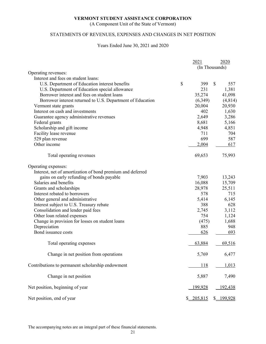(A Component Unit of the State of Vermont)

# STATEMENTS OF REVENUES, EXPENSES AND CHANGES IN NET POSITION

#### Years Ended June 30, 2021 and 2020

|                                                            | 2021                     |              | 2020    |
|------------------------------------------------------------|--------------------------|--------------|---------|
|                                                            | (In Thousands)           |              |         |
| Operating revenues:                                        |                          |              |         |
| Interest and fees on student loans:                        |                          |              |         |
| U.S. Department of Education interest benefits             | \$<br>399                | $\mathbb{S}$ | 557     |
| U.S. Department of Education special allowance             | 231                      |              | 1,381   |
| Borrower interest and fees on student loans                | 35,274                   |              | 41,098  |
| Borrower interest returned to U.S. Department of Education | (6,349)                  |              | (4,814) |
| Vermont state grants                                       | 20,004                   |              | 20,930  |
| Interest on cash and investments                           | 402                      |              | 1,630   |
| Guarantee agency administrative revenues                   | 2,649                    |              | 3,286   |
| Federal grants                                             | 8,681                    |              | 5,166   |
| Scholarship and gift income                                | 4,948                    |              | 4,851   |
| Facility lease revenue                                     | 711                      |              | 704     |
| 529 plan revenue                                           | 699                      |              | 587     |
| Other income                                               | 2,004                    |              | 617     |
| Total operating revenues                                   | 69,653                   |              | 75,993  |
| Operating expenses:                                        |                          |              |         |
| Interest, net of amortization of bond premium and deferred |                          |              |         |
| gains on early refunding of bonds payable                  | 7,903                    |              | 13,243  |
| Salaries and benefits                                      | 16,088                   |              | 15,709  |
| Grants and scholarships                                    | 28,978                   |              | 25,511  |
| Interest rebated to borrowers                              | 578                      |              | 715     |
| Other general and administrative                           | 5,414                    |              | 6,145   |
| Interest subject to U.S. Treasury rebate                   | 388                      |              | 628     |
| Consolidation and lender paid fees                         | 2,745                    |              | 3,112   |
| Other loan related expenses                                | 754                      |              | 1,124   |
| Change in provision for losses on student loans            | (475)                    |              | 1,688   |
| Depreciation                                               | 885                      |              | 948     |
| Bond issuance costs                                        | 626                      |              | 693     |
| Total operating expenses                                   | 63,884                   |              | 69,516  |
| Change in net position from operations                     | 5,769                    |              | 6,477   |
| Contributions to permanent scholarship endowment           | 118                      |              | 1,013   |
| Change in net position                                     | 5,887                    |              | 7,490   |
| Net position, beginning of year                            | 199,928                  |              | 192,438 |
| Net position, end of year                                  | $\underline{\$ 205,815}$ | $\mathbb{S}$ | 199,928 |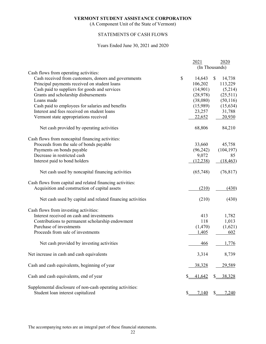(A Component Unit of the State of Vermont)

# STATEMENTS OF CASH FLOWS

#### Years Ended June 30, 2021 and 2020

|                                                           | 2021         | 2020<br>(In Thousands) |
|-----------------------------------------------------------|--------------|------------------------|
| Cash flows from operating activities:                     |              |                        |
| Cash received from customers, donors and governments      | \$<br>14,643 | \$<br>14,738           |
| Principal payments received on student loans              | 106,202      | 113,229                |
| Cash paid to suppliers for goods and services             | (14,901)     | (5,214)                |
| Grants and scholarship disbursements                      | (28, 978)    | (25,511)               |
| Loans made                                                | (38,080)     | (50, 116)              |
| Cash paid to employees for salaries and benefits          | (15,989)     | (15, 634)              |
| Interest and fees received on student loans               | 23,257       | 31,788                 |
| Vermont state appropriations received                     | 22,652       | 20,930                 |
| Net cash provided by operating activities                 | 68,806       | 84,210                 |
| Cash flows from noncapital financing activities:          |              |                        |
| Proceeds from the sale of bonds payable                   | 33,660       | 45,758                 |
| Payments on bonds payable                                 | (96, 242)    | (104, 197)             |
| Decrease in restricted cash                               | 9,072        | 85                     |
| Interest paid to bond holders                             | (12, 238)    | (18, 463)              |
| Net cash used by noncapital financing activities          | (65,748)     | (76, 817)              |
| Cash flows from capital and related financing activities: |              |                        |
| Acquisition and construction of capital assets            | (210)        | (430)                  |
| Net cash used by capital and related financing activities | (210)        | (430)                  |
| Cash flows from investing activities:                     |              |                        |
| Interest received on cash and investments                 | 413          | 1,782                  |
| Contributions to permanent scholarship endowment          | 118          | 1,013                  |
| Purchase of investments                                   | (1,470)      | (1,621)                |
| Proceeds from sale of investments                         | 1,405        | 602                    |
| Net cash provided by investing activities                 | 466          | 1,776                  |
| Net increase in cash and cash equivalents                 | 3,314        | 8,739                  |
| Cash and cash equivalents, beginning of year              | 38,328       | 29,589                 |
| Cash and cash equivalents, end of year                    | 41,642       | 38,328                 |
| Supplemental disclosure of non-cash operating activities: |              |                        |
| Student loan interest capitalized                         | 7,140        | 7,240                  |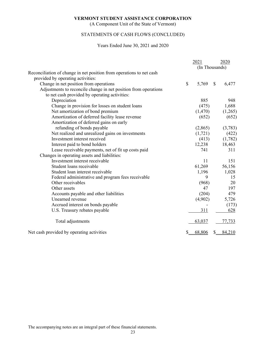(A Component Unit of the State of Vermont)

# STATEMENTS OF CASH FLOWS (CONCLUDED)

#### Years Ended June 30, 2021 and 2020

|                                                                      | 2021           | 2020        |
|----------------------------------------------------------------------|----------------|-------------|
|                                                                      | (In Thousands) |             |
| Reconciliation of change in net position from operations to net cash |                |             |
| provided by operating activities:                                    |                |             |
| Change in net position from operations                               | \$<br>5,769    | \$<br>6,477 |
| Adjustments to reconcile change in net position from operations      |                |             |
| to net cash provided by operating activities:                        |                |             |
| Depreciation                                                         | 885            | 948         |
| Change in provision for losses on student loans                      | (475)          | 1,688       |
| Net amortization of bond premium                                     | (1,470)        | (1,265)     |
| Amortization of deferred facility lease revenue                      | (652)          | (652)       |
| Amortization of deferred gains on early                              |                |             |
| refunding of bonds payable                                           | (2,865)        | (3,783)     |
| Net realized and unrealized gains on investments                     | (1,721)        | (422)       |
| Investment interest received                                         | (413)          | (1,782)     |
| Interest paid to bond holders                                        | 12,238         | 18,463      |
| Lease receivable payments, net of fit up costs paid                  | 741            | 311         |
| Changes in operating assets and liabilities:                         |                |             |
| Investment interest receivable                                       | 11             | 151         |
| Student loans receivable                                             | 61,269         | 56,156      |
| Student loan interest receivable                                     | 1,196          | 1,028       |
| Federal administrative and program fees receivable                   | 9              | 15          |
| Other receivables                                                    | (968)          | 20          |
| Other assets                                                         | 47             | 197         |
| Accounts payable and other liabilities                               | (204)          | 479         |
| Unearned revenue                                                     | (4,902)        | 5,726       |
| Accrued interest on bonds payable                                    |                | (173)       |
| U.S. Treasury rebates payable                                        | 311            | 628         |
| Total adjustments                                                    | 63,037         | 77,733      |
| Net cash provided by operating activities                            | 68,806         | 84,210      |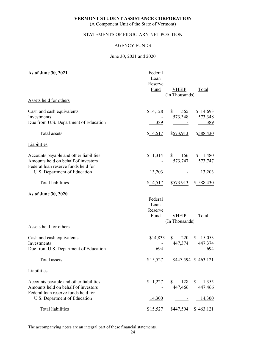(A Component Unit of the State of Vermont)

# STATEMENTS OF FIDUCIARY NET POSITION

### AGENCY FUNDS

### June 30, 2021 and 2020

| As of June 30, 2021                                                                                                  | Federal<br>Loan<br>Reserve<br><b>Fund</b> | <b>VHEIP</b><br>(In Thousands)                              | <b>Total</b>               |
|----------------------------------------------------------------------------------------------------------------------|-------------------------------------------|-------------------------------------------------------------|----------------------------|
| Assets held for others                                                                                               |                                           |                                                             |                            |
| Cash and cash equivalents<br>Investments<br>Due from U.S. Department of Education                                    | \$14,128<br>389                           | $\mathbb{S}$<br>565<br>573,348                              | \$14,693<br>573,348<br>389 |
| Total assets                                                                                                         | \$14,517                                  | \$573,913                                                   | \$588,430                  |
| Liabilities                                                                                                          |                                           |                                                             |                            |
| Accounts payable and other liabilities<br>Amounts held on behalf of investors<br>Federal loan reserve funds held for | $$1,314$ \ \$                             | 166<br>573,747                                              | \$1,480<br>573,747         |
| U.S. Department of Education                                                                                         | <u>13,203</u>                             |                                                             | <u>13,203</u>              |
| Total liabilities                                                                                                    | \$14,517                                  | \$573,913                                                   | \$588,430                  |
| As of June 30, 2020                                                                                                  | Federal<br>Loan<br>Reserve<br>Fund        | <b>VHEIP</b><br>(In Thousands)                              | Total                      |
| Assets held for others                                                                                               |                                           |                                                             |                            |
| Cash and cash equivalents<br>Investments<br>Due from U.S. Department of Education                                    | \$14,833<br>694                           | $\mathbb{S}$<br>220<br>447,374<br>$\sim 10^{-10}$ m $^{-1}$ | \$15,053<br>447,374<br>694 |
| Total assets                                                                                                         | \$15,527                                  |                                                             | \$447,594 \$463,121        |
| <b>Liabilities</b>                                                                                                   |                                           |                                                             |                            |
| Accounts payable and other liabilities<br>Amounts held on behalf of investors<br>Federal loan reserve funds held for | \$1,227                                   | \$<br>128<br>447,466                                        | 1,355<br>\$<br>447,466     |
| U.S. Department of Education                                                                                         | 14,300                                    |                                                             | 14,300                     |
| <b>Total liabilities</b>                                                                                             | \$15,527                                  | \$ <u>447,594</u>                                           | $\frac{463,121}{2}$        |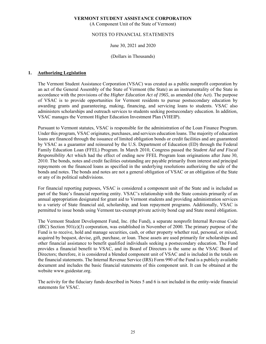(A Component Unit of the State of Vermont)

# NOTES TO FINANCIAL STATEMENTS

# June 30, 2021 and 2020

#### (Dollars in Thousands)

# **1. Authorizing Legislation**

The Vermont Student Assistance Corporation (VSAC) was created as a public nonprofit corporation by an act of the General Assembly of the State of Vermont (the State) as an instrumentality of the State in accordance with the provisions of the *Higher Education Act of 1965*, as amended (the Act). The purpose of VSAC is to provide opportunities for Vermont residents to pursue postsecondary education by awarding grants and guaranteeing, making, financing, and servicing loans to students. VSAC also administers scholarships and outreach services to students seeking postsecondary education. In addition, VSAC manages the Vermont Higher Education Investment Plan (VHEIP).

Pursuant to Vermont statutes, VSAC is responsible for the administration of the Loan Finance Program. Under this program, VSAC originates, purchases, and services education loans. The majority of education loans are financed through the issuance of limited obligation bonds or credit facilities and are guaranteed by VSAC as a guarantor and reinsured by the U.S. Department of Education (ED) through the Federal Family Education Loan (FFEL) Program. In March 2010, Congress passed the *Student Aid and Fiscal Responsibility Act* which had the effect of ending new FFEL Program loan originations after June 30, 2010. The bonds, notes and credit facilities outstanding are payable primarily from interest and principal repayments on the financed loans as specified in the underlying resolutions authorizing the sale of the bonds and notes. The bonds and notes are not a general obligation of VSAC or an obligation of the State or any of its political subdivisions.

For financial reporting purposes, VSAC is considered a component unit of the State and is included as part of the State's financial reporting entity. VSAC's relationship with the State consists primarily of an annual appropriation designated for grant aid to Vermont students and providing administration services to a variety of State financial aid, scholarship, and loan repayment programs. Additionally, VSAC is permitted to issue bonds using Vermont tax-exempt private activity bond cap and State moral obligation.

The Vermont Student Development Fund, Inc. (the Fund), a separate nonprofit Internal Revenue Code  $(IRC)$  Section 501(c)(3) corporation, was established in November of 2000. The primary purpose of the Fund is to receive, hold and manage securities, cash, or other property whether real, personal, or mixed, acquired by bequest, devise, gift, purchase, or loan. These assets are used primarily for scholarships and other financial assistance to benefit qualified individuals seeking a postsecondary education. The Fund provides a financial benefit to VSAC, and its Board of Directors is the same as the VSAC Board of Directors; therefore, it is considered a blended component unit of VSAC and is included in the totals on the financial statements. The Internal Revenue Service (IRS) Form 990 of the Fund is a publicly available document and includes the basic financial statements of this component unit. It can be obtained at the website www.guidestar.org.

The activity for the fiduciary funds described in Notes 5 and 6 is not included in the entity-wide financial statements for VSAC.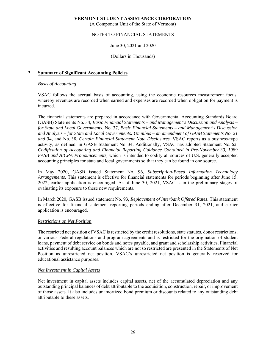(A Component Unit of the State of Vermont)

# NOTES TO FINANCIAL STATEMENTS

# June 30, 2021 and 2020

#### (Dollars in Thousands)

# **2. Summary of Significant Accounting Policies**

#### *Basis of Accounting*

VSAC follows the accrual basis of accounting, using the economic resources measurement focus, whereby revenues are recorded when earned and expenses are recorded when obligation for payment is incurred.

The financial statements are prepared in accordance with Governmental Accounting Standards Board (GASB) Statements No. 34, *Basic Financial Statements – and Management's Discussion and Analysis – for State and Local Governments*, No. 37, *Basic Financial Statements – and Management's Discussion and Analysis – for State and Local Governments: Omnibus – an amendment of GASB Statements No. 21 and 34*, and No. 38, *Certain Financial Statement Note Disclosures*. VSAC reports as a business-type activity, as defined, in GASB Statement No. 34. Additionally, VSAC has adopted Statement No. 62, *Codification of Accounting and Financial Reporting Guidance Contained in Pre-November 30, 1989 FASB and AICPA Pronouncements,* which is intended to codify all sources of U.S. generally accepted accounting principles for state and local governments so that they can be found in one source.

In May 2020, GASB issued Statement No. 96, *Subscription-Based Information Technology Arrangements*. This statement is effective for financial statements for periods beginning after June 15, 2022; earlier application is encouraged. As of June 30, 2021, VSAC is in the preliminary stages of evaluating its exposure to these new requirements.

In March 2020, GASB issued statement No. 93, *Replacement of Interbank Offered Rates*. This statement is effective for financial statement reporting periods ending after December 31, 2021, and earlier application is encouraged.

#### *Restrictions on Net Position*

The restricted net position of VSAC is restricted by the credit resolutions, state statutes, donor restrictions, or various Federal regulations and program agreements and is restricted for the origination of student loans, payment of debt service on bonds and notes payable, and grant and scholarship activities. Financial activities and resulting account balances which are not so restricted are presented in the Statements of Net Position as unrestricted net position. VSAC's unrestricted net position is generally reserved for educational assistance purposes.

#### *Net Investment in Capital Assets*

Net investment in capital assets includes capital assets, net of the accumulated depreciation and any outstanding principal balances of debt attributable to the acquisition, construction, repair, or improvement of those assets. It also includes unamortized bond premium or discounts related to any outstanding debt attributable to these assets.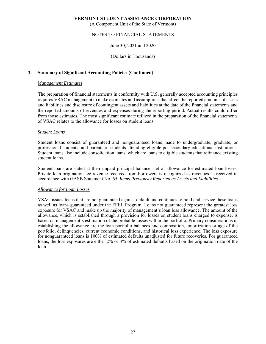(A Component Unit of the State of Vermont)

# NOTES TO FINANCIAL STATEMENTS

### June 30, 2021 and 2020

#### (Dollars in Thousands)

### **2. Summary of Significant Accounting Policies (Continued)**

#### *Management Estimates*

The preparation of financial statements in conformity with U.S. generally accepted accounting principles requires VSAC management to make estimates and assumptions that affect the reported amounts of assets and liabilities and disclosure of contingent assets and liabilities at the date of the financial statements and the reported amounts of revenues and expenses during the reporting period. Actual results could differ from those estimates. The most significant estimate utilized in the preparation of the financial statements of VSAC relates to the allowance for losses on student loans.

#### *Student Loans*

Student loans consist of guaranteed and nonguaranteed loans made to undergraduate, graduate, or professional students, and parents of students attending eligible postsecondary educational institutions. Student loans also include consolidation loans, which are loans to eligible students that refinance existing student loans.

Student loans are stated at their unpaid principal balance, net of allowance for estimated loan losses. Private loan origination fee revenue received from borrowers is recognized as revenues as received in accordance with GASB Statement No. 65, *Items Previously Reported as Assets and Liabilities.* 

#### *Allowance for Loan Losses*

VSAC issues loans that are not guaranteed against default and continues to hold and service these loans as well as loans guaranteed under the FFEL Program. Loans not guaranteed represent the greatest loss exposure for VSAC and make up the majority of management's loan loss allowance. The amount of the allowance, which is established through a provision for losses on student loans charged to expense, is based on management's estimation of the probable losses within the portfolio. Primary considerations in establishing the allowance are the loan portfolio balances and composition, amortization or age of the portfolio, delinquencies, current economic conditions, and historical loss experience. The loss exposure for nonguaranteed loans is 100% of estimated defaults unadjusted for future recoveries. For guaranteed loans, the loss exposures are either 2% or 3% of estimated defaults based on the origination date of the loan.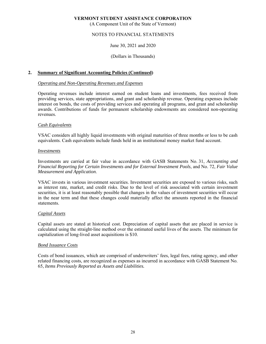(A Component Unit of the State of Vermont)

# NOTES TO FINANCIAL STATEMENTS

# June 30, 2021 and 2020

#### (Dollars in Thousands)

#### **2. Summary of Significant Accounting Policies (Continued)**

#### *Operating and Non-Operating Revenues and Expenses*

Operating revenues include interest earned on student loans and investments, fees received from providing services, state appropriations, and grant and scholarship revenue. Operating expenses include interest on bonds, the costs of providing services and operating all programs, and grant and scholarship awards. Contributions of funds for permanent scholarship endowments are considered non-operating revenues.

#### *Cash Equivalents*

VSAC considers all highly liquid investments with original maturities of three months or less to be cash equivalents. Cash equivalents include funds held in an institutional money market fund account.

#### *Investments*

Investments are carried at fair value in accordance with GASB Statements No. 31, *Accounting and Financial Reporting for Certain Investments and for External Investment Pools*, and No. 72, *Fair Value Measurement and Application*.

VSAC invests in various investment securities. Investment securities are exposed to various risks, such as interest rate, market, and credit risks. Due to the level of risk associated with certain investment securities, it is at least reasonably possible that changes in the values of investment securities will occur in the near term and that these changes could materially affect the amounts reported in the financial statements.

#### *Capital Assets*

Capital assets are stated at historical cost. Depreciation of capital assets that are placed in service is calculated using the straight-line method over the estimated useful lives of the assets. The minimum for capitalization of long-lived asset acquisitions is \$10.

#### *Bond Issuance Costs*

Costs of bond issuances, which are comprised of underwriters' fees, legal fees, rating agency, and other related financing costs, are recognized as expenses as incurred in accordance with GASB Statement No. 65, *Items Previously Reported as Assets and Liabilities.*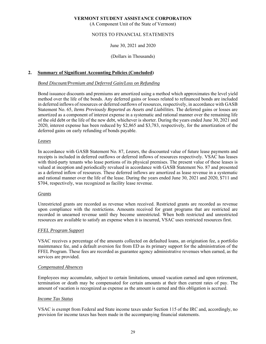(A Component Unit of the State of Vermont)

# NOTES TO FINANCIAL STATEMENTS

# June 30, 2021 and 2020

### (Dollars in Thousands)

# **2. Summary of Significant Accounting Policies (Concluded)**

#### *Bond Discount/Premium and Deferred Gain/Loss on Refunding*

Bond issuance discounts and premiums are amortized using a method which approximates the level yield method over the life of the bonds. Any deferred gains or losses related to refinanced bonds are included in deferred inflows of resources or deferred outflows of resources, respectively, in accordance with GASB Statement No. 65, *Items Previously Reported as Assets and Liabilities.* The deferred gains or losses are amortized as a component of interest expense in a systematic and rational manner over the remaining life of the old debt or the life of the new debt, whichever is shorter. During the years ended June 30, 2021 and 2020, interest expense has been reduced by \$2,865 and \$3,783, respectively, for the amortization of the deferred gains on early refunding of bonds payable.

#### *Leases*

In accordance with GASB Statement No. 87, *Leases*, the discounted value of future lease payments and receipts is included in deferred outflows or deferred inflows of resources respectively. VSAC has leases with third-party tenants who lease portions of its physical premises. The present value of these leases is valued at inception and periodically revalued in accordance with GASB Statement No. 87 and presented as a deferred inflow of resources. These deferred inflows are amortized as lease revenue in a systematic and rational manner over the life of the lease. During the years ended June 30, 2021 and 2020, \$711 and \$704, respectively, was recognized as facility lease revenue.

# *Grants*

Unrestricted grants are recorded as revenue when received. Restricted grants are recorded as revenue upon compliance with the restrictions. Amounts received for grant programs that are restricted are recorded in unearned revenue until they become unrestricted. When both restricted and unrestricted resources are available to satisfy an expense when it is incurred, VSAC uses restricted resources first.

#### *FFEL Program Support*

VSAC receives a percentage of the amounts collected on defaulted loans, an origination fee, a portfolio maintenance fee, and a default aversion fee from ED as its primary support for the administration of the FFEL Program. These fees are recorded as guarantee agency administrative revenues when earned, as the services are provided.

#### *Compensated Absences*

Employees may accumulate, subject to certain limitations, unused vacation earned and upon retirement, termination or death may be compensated for certain amounts at their then current rates of pay. The amount of vacation is recognized as expense as the amount is earned and this obligation is accrued.

#### *Income Tax Status*

VSAC is exempt from Federal and State income taxes under Section 115 of the IRC and, accordingly, no provision for income taxes has been made in the accompanying financial statements.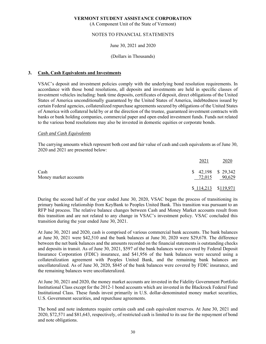(A Component Unit of the State of Vermont)

# NOTES TO FINANCIAL STATEMENTS

# June 30, 2021 and 2020

#### (Dollars in Thousands)

### **3. Cash, Cash Equivalents and Investments**

VSAC's deposit and investment policies comply with the underlying bond resolution requirements. In accordance with those bond resolutions, all deposits and investments are held in specific classes of investment vehicles including: bank time deposits, certificates of deposit, direct obligations of the United States of America unconditionally guaranteed by the United States of America, indebtedness issued by certain Federal agencies, collateralized repurchase agreements secured by obligations of the United States of America with collateral held by or at the direction of the trustee, guaranteed investment contracts with banks or bank holding companies, commercial paper and open ended investment funds. Funds not related to the various bond resolutions may also be invested in domestic equities or corporate bonds.

#### *Cash and Cash Equivalents*

The carrying amounts which represent both cost and fair value of cash and cash equivalents as of June 30, 2020 and 2021 are presented below:

|                               | 2021   | 2020                          |
|-------------------------------|--------|-------------------------------|
| Cash<br>Money market accounts | 72,015 | $$42,198$ $$29,342$<br>90,629 |
|                               |        | $$114,213$ $$119,971$         |

During the second half of the year ended June 30, 2020, VSAC began the process of transitioning its primary banking relationship from KeyBank to Peoples United Bank. This transition was pursuant to an RFP bid process. The relative balance changes between Cash and Money Market accounts result from this transition and are not related to any change in VSAC's investment policy. VSAC concluded this transition during the year ended June 30, 2021.

At June 30, 2021 and 2020, cash is comprised of various commercial bank accounts. The bank balances at June 30, 2021 were \$42,510 and the bank balances at June 30, 2020 were \$29,678. The difference between the net bank balances and the amounts recorded on the financial statements is outstanding checks and deposits in transit. As of June 30, 2021, \$597 of the bank balances were covered by Federal Deposit Insurance Corporation (FDIC) insurance, and \$41,956 of the bank balances were secured using a collateralization agreement with Peoples United Bank, and the remaining bank balances are uncollateralized. As of June 30, 2020, \$845 of the bank balances were covered by FDIC insurance, and the remaining balances were uncollateralized.

At June 30, 2021 and 2020, the money market accounts are invested in the Fidelity Government Portfolio Institutional Class except for the 2012-1 bond accounts which are invested in the Blackrock Federal Fund Institutional Class. These funds invest primarily in U.S. dollar-denominated money market securities, U.S. Government securities, and repurchase agreements.

The bond and note indentures require certain cash and cash equivalent reserves. At June 30, 2021 and 2020, \$72,571 and \$81,643, respectively, of restricted cash is limited to its use for the repayment of bond and note obligations.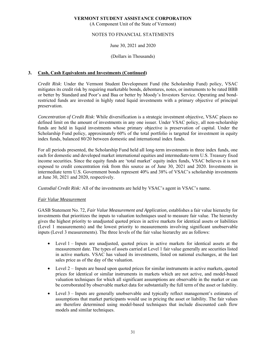(A Component Unit of the State of Vermont)

# NOTES TO FINANCIAL STATEMENTS

# June 30, 2021 and 2020

# (Dollars in Thousands)

# **3. Cash, Cash Equivalents and Investments (Continued)**

*Credit Risk*: Under the Vermont Student Development Fund (the Scholarship Fund) policy, VSAC mitigates its credit risk by requiring marketable bonds, debentures, notes, or instruments to be rated BBB or better by Standard and Poor's and Baa or better by Moody's Investors Service. Operating and bondrestricted funds are invested in highly rated liquid investments with a primary objective of principal preservation.

*Concentration of Credit Risk*: While diversification is a strategic investment objective, VSAC places no defined limit on the amount of investments in any one issuer. Under VSAC policy, all non-scholarship funds are held in liquid investments whose primary objective is preservation of capital. Under the Scholarship Fund policy, approximately 60% of the total portfolio is targeted for investment in equity index funds, balanced 80/20 between domestic and international index funds.

For all periods presented, the Scholarship Fund held all long-term investments in three index funds, one each for domestic and developed market international equities and intermediate-term U.S. Treasury fixed income securities. Since the equity funds are 'total market' equity index funds, VSAC believes it is not exposed to credit concentration risk from this source as of June 30, 2021 and 2020. Investments in intermediate term U.S. Government bonds represent 40% and 38% of VSAC's scholarship investments at June 30, 2021 and 2020, respectively.

*Custodial Credit Risk:* All of the investments are held by VSAC's agent in VSAC's name.

# *Fair Value Measurement*

GASB Statement No. 72, *Fair Value Measurement and Application,* establishes a fair value hierarchy for investments that prioritizes the inputs to valuation techniques used to measure fair value. The hierarchy gives the highest priority to unadjusted quoted prices in active markets for identical assets or liabilities (Level 1 measurements) and the lowest priority to measurements involving significant unobservable inputs (Level 3 measurements). The three levels of the fair value hierarchy are as follows:

- Level 1 Inputs are unadjusted, quoted prices in active markets for identical assets at the measurement date. The types of assets carried at Level 1 fair value generally are securities listed in active markets. VSAC has valued its investments, listed on national exchanges, at the last sales price as of the day of the valuation.
- Level  $2$  Inputs are based upon quoted prices for similar instruments in active markets, quoted prices for identical or similar instruments in markets which are not active, and model-based valuation techniques for which all significant assumptions are observable in the market or can be corroborated by observable market data for substantially the full term of the asset or liability.
- Level 3 Inputs are generally unobservable and typically reflect management's estimates of assumptions that market participants would use in pricing the asset or liability. The fair values are therefore determined using model-based techniques that include discounted cash flow models and similar techniques.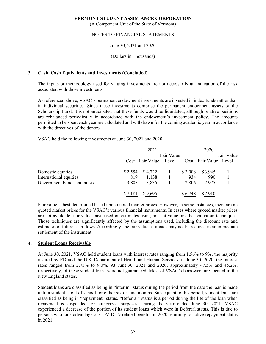(A Component Unit of the State of Vermont)

# NOTES TO FINANCIAL STATEMENTS

# June 30, 2021 and 2020

#### (Dollars in Thousands)

# **3. Cash, Cash Equivalents and Investments (Concluded)**

The inputs or methodology used for valuing investments are not necessarily an indication of the risk associated with those investments.

As referenced above, VSAC's permanent endowment investments are invested in index funds rather than in individual securities. Since these investments comprise the permanent endowment assets of the Scholarship Fund, it is not anticipated that these funds would be liquidated, although relative positions are rebalanced periodically in accordance with the endowment's investment policy. The amounts permitted to be spent each year are calculated and withdrawn for the coming academic year in accordance with the directives of the donors.

VSAC held the following investments at June 30, 2021 and 2020:

|                            |         | 2021       |       |         | 2020             |  |  |
|----------------------------|---------|------------|-------|---------|------------------|--|--|
|                            |         | Fair Value |       |         | Fair Value       |  |  |
|                            | Cost    | Fair Value | Level | Cost    | Fair Value Level |  |  |
| Domestic equities          | \$2,554 | \$4,722    |       | \$3,008 | \$3,945          |  |  |
| International equities     | 819     | 1,138      |       | 934     | 990              |  |  |
| Government bonds and notes | 3,808   | 3,835      |       | 2,806   | 2,975            |  |  |
|                            | \$7,181 | \$9,695    |       | \$6,748 | \$7,910          |  |  |

Fair value is best determined based upon quoted market prices. However, in some instances, there are no quoted market prices for the VSAC's various financial instruments. In cases where quoted market prices are not available, fair values are based on estimates using present value or other valuation techniques. Those techniques are significantly affected by the assumptions used, including the discount rate and estimates of future cash flows. Accordingly, the fair value estimates may not be realized in an immediate settlement of the instrument.

# **4. Student Loans Receivable**

At June 30, 2021, VSAC held student loans with interest rates ranging from 1.56% to 9%, the majority insured by ED and the U.S. Department of Health and Human Services; at June 30, 2020, the interest rates ranged from 2.73% to 9.0%. At June 30, 2021 and 2020, approximately 47.5% and 45.2%, respectively, of these student loans were not guaranteed. Most of VSAC's borrowers are located in the New England states.

Student loans are classified as being in "interim" status during the period from the date the loan is made until a student is out of school for either six or nine months. Subsequent to this period, student loans are classified as being in "repayment" status. "Deferral" status is a period during the life of the loan when repayment is suspended for authorized purposes. During the year ended June 30, 2021, VSAC experienced a decrease of the portion of its student loans which were in Deferral status. This is due to persons who took advantage of COVID-19 related benefits in 2020 returning to active repayment status in 2021.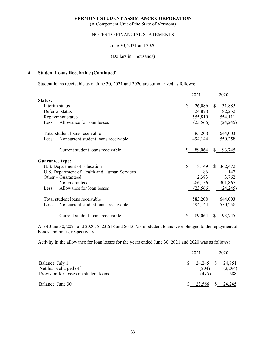(A Component Unit of the State of Vermont)

# NOTES TO FINANCIAL STATEMENTS

# June 30, 2021 and 2020

# (Dollars in Thousands)

# **4. Student Loans Receivable (Continued)**

Student loans receivable as of June 30, 2021 and 2020 are summarized as follows:

|                        |                                              |    | 2021      |              | 2020                |
|------------------------|----------------------------------------------|----|-----------|--------------|---------------------|
| Status:                |                                              |    |           |              |                     |
| Interim status         |                                              | \$ | 26,086    | <sup>S</sup> | 31,885              |
|                        | Deferral status                              |    | 24,878    |              | 82,252              |
|                        | Repayment status                             |    | 555,810   |              | 554,111             |
| Less:                  | Allowance for loan losses                    |    | (23, 566) |              | (24,245)            |
|                        | Total student loans receivable               |    | 583,208   |              | 644,003             |
| Less:                  | Noncurrent student loans receivable          |    | 494,144   |              | 550,258             |
|                        | Current student loans receivable             | \$ | 89,064    | \$           | 93,745              |
| <b>Guarantee type:</b> |                                              |    |           |              |                     |
|                        | U.S. Department of Education                 |    | 318,149   | S.           | 362,472             |
|                        | U.S. Department of Health and Human Services |    | 86        |              | 147                 |
|                        | Other – Guaranteed                           |    | 2,383     |              | 3,762               |
|                        | Nonguaranteed                                |    | 286,156   |              | 301,867             |
| Less:                  | Allowance for loan losses                    |    | (23, 566) |              | (24, 245)           |
|                        | Total student loans receivable               |    | 583,208   |              | 644,003             |
| Less:                  | Noncurrent student loans receivable          |    | 494,144   |              | 550,258             |
|                        | Current student loans receivable             | S. | 89,064    |              | $\frac{\$}{93,745}$ |

As of June 30, 2021 and 2020, \$523,618 and \$643,753 of student loans were pledged to the repayment of bonds and notes, respectively.

Activity in the allowance for loan losses for the years ended June 30, 2021 and 2020 was as follows:

|                                                                                   | 2021                        | 2020                       |
|-----------------------------------------------------------------------------------|-----------------------------|----------------------------|
| Balance, July 1<br>Net loans charged off<br>Provision for losses on student loans | 24,245 \$<br>(204)<br>(475) | 24,851<br>(2,294)<br>1,688 |
| Balance, June 30                                                                  | 23,566                      | 24.245                     |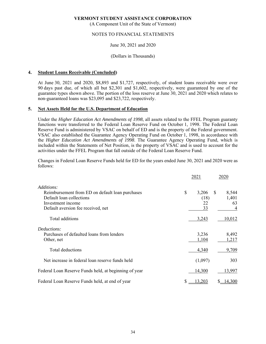(A Component Unit of the State of Vermont)

### NOTES TO FINANCIAL STATEMENTS

# June 30, 2021 and 2020

#### (Dollars in Thousands)

#### **4. Student Loans Receivable (Concluded)**

At June 30, 2021 and 2020, \$8,893 and \$1,727, respectively, of student loans receivable were over 90 days past due, of which all but \$2,301 and \$1,602, respectively, were guaranteed by one of the guarantee types shown above. The portion of the loss reserve at June 30, 2021 and 2020 which relates to non-guaranteed loans was \$23,095 and \$23,722, respectively.

#### **5. Net Assets Held for the U.S. Department of Education**

Under the *Higher Education Act Amendments of 1998*, all assets related to the FFEL Program guaranty functions were transferred to the Federal Loan Reserve Fund on October 1, 1998. The Federal Loan Reserve Fund is administered by VSAC on behalf of ED and is the property of the Federal government. VSAC also established the Guarantee Agency Operating Fund on October 1, 1998, in accordance with the *Higher Education Act Amendments of 1998*. The Guarantee Agency Operating Fund, which is included within the Statements of Net Position, is the property of VSAC and is used to account for the activities under the FFEL Program that fall outside of the Federal Loan Reserve Fund.

Changes in Federal Loan Reserve Funds held for ED for the years ended June 30, 2021 and 2020 were as follows:

|                                                                                                                                        | 2021                            |               | 2020                      |
|----------------------------------------------------------------------------------------------------------------------------------------|---------------------------------|---------------|---------------------------|
| Additions:                                                                                                                             |                                 |               |                           |
| Reimbursement from ED on default loan purchases<br>Default loan collections<br>Investment income<br>Default aversion fee received, net | \$<br>3,206<br>(18)<br>22<br>33 | <sup>\$</sup> | 8,544<br>1,401<br>63<br>4 |
| Total additions                                                                                                                        | 3,243                           |               | 10,012                    |
| Deductions:<br>Purchases of defaulted loans from lenders<br>Other, net                                                                 | 3,236<br>1,104                  |               | 8,492<br>1,217            |
| Total deductions                                                                                                                       | 4,340                           |               | 9,709                     |
| Net increase in federal loan reserve funds held                                                                                        | (1,097)                         |               | 303                       |
| Federal Loan Reserve Funds held, at beginning of year                                                                                  | 14,300                          |               | 13,997                    |
| Federal Loan Reserve Funds held, at end of year                                                                                        | 13,203                          |               | 14,300                    |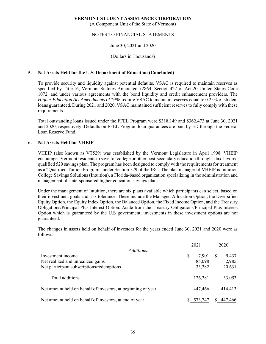(A Component Unit of the State of Vermont)

# NOTES TO FINANCIAL STATEMENTS

# June 30, 2021 and 2020

#### (Dollars in Thousands)

### **5. Net Assets Held for the U.S. Department of Education (Concluded)**

To provide security and liquidity against potential defaults, VSAC is required to maintain reserves as specified by Title 16, Vermont Statutes Annotated §2864, Section 422 of Act 20 United States Code 1072, and under various agreements with the bond liquidity and credit enhancement providers. The *Higher Education Act Amendments of 1998* require VSAC to maintain reserves equal to 0.25% of student loans guaranteed. During 2021 and 2020, VSAC maintained sufficient reserves to fully comply with these requirements.

Total outstanding loans issued under the FFEL Program were \$318,149 and \$362,473 at June 30, 2021 and 2020, respectively. Defaults on FFEL Program loan guarantees are paid by ED through the Federal Loan Reserve Fund.

#### **6. Net Assets Held for VHEIP**

VHEIP (also known as VT529) was established by the Vermont Legislature in April 1998. VHEIP encourages Vermont residents to save for college or other post-secondary education through a tax-favored qualified 529 savings plan. The program has been designed to comply with the requirements for treatment as a "Qualified Tuition Program" under Section 529 of the IRC. The plan manager of VHEIP is Intuition College Savings Solutions (Intuition), a Florida-based organization specializing in the administration and management of state-sponsored higher education savings plans.

Under the management of Intuition, there are six plans available which participants can select, based on their investment goals and risk tolerance. These include the Managed Allocation Option, the Diversified Equity Option, the Equity Index Option, the Balanced Option, the Fixed Income Option, and the Treasury Obligations/Principal Plus Interest Option. Aside from the Treasury Obligations/Principal Plus Interest Option which is guaranteed by the U.S government, investments in these investment options are not guaranteed.

The changes in assets held on behalf of investors for the years ended June 30, 2021 and 2020 were as follows:

|                                                              | 2021        | 2020       |
|--------------------------------------------------------------|-------------|------------|
| Additions:                                                   |             |            |
| Investment income                                            | \$<br>7,901 | 9,437<br>S |
| Net realized and unrealized gains                            | 85,098      | 2,985      |
| Net participant subscriptions/redemptions                    | 33,282      | 20,631     |
|                                                              |             |            |
| Total additions                                              | 126,281     | 33,053     |
|                                                              |             |            |
| Net amount held on behalf of investors, at beginning of year | 447,466     | 414,413    |
|                                                              |             |            |
| Net amount held on behalf of investors, at end of year       | 573.747     | 447,466    |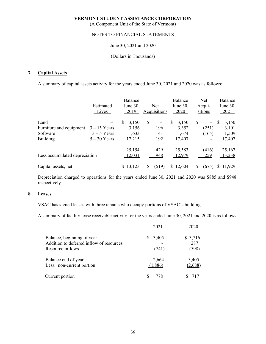(A Component Unit of the State of Vermont)

# NOTES TO FINANCIAL STATEMENTS

# June 30, 2021 and 2020

#### (Dollars in Thousands)

### **7. Capital Assets**

A summary of capital assets activity for the years ended June 30, 2021 and 2020 was as follows:

|                               | Estimated<br>Lives | Balance<br>June 30,<br>2019 | Net<br>Acquisitions            |   | Balance<br>June 30,<br>2020 | <b>Net</b><br>Acqui-<br>sitions |   | Balance<br>June $30$ ,<br>2021 |
|-------------------------------|--------------------|-----------------------------|--------------------------------|---|-----------------------------|---------------------------------|---|--------------------------------|
| Land                          |                    | \$<br>3,150                 | \$<br>$\overline{\phantom{a}}$ | S | 3,150                       | \$<br>۰                         | S | 3,150                          |
| Furniture and equipment       | $3 - 15$ Years     | 3,156                       | 196                            |   | 3,352                       | (251)                           |   | 3,101                          |
| Software                      | $3 - 5$ Years      | 1,633                       | 41                             |   | 1,674                       | (165)                           |   | 1,509                          |
| <b>Building</b>               | $5 - 30$ Years     | 17,215                      | 192                            |   | 17,407                      |                                 |   | 17,407                         |
|                               |                    | 25,154                      | 429                            |   | 25,583                      | (416)                           |   | 25,167                         |
| Less accumulated depreciation |                    | 12,031                      | 948                            |   | 12,979                      | 259                             |   | 13,238                         |
| Capital assets, net           |                    | 13,123                      | (519)                          |   | \$12,604                    | (675)                           |   | 11,929                         |

Depreciation charged to operations for the years ended June 30, 2021 and 2020 was \$885 and \$948, respectively.

# **8. Leases**

VSAC has signed leases with three tenants who occupy portions of VSAC's building.

A summary of facility lease receivable activity for the years ended June 30, 2021 and 2020 is as follows:

|                                                                                            | 2021             |                         |
|--------------------------------------------------------------------------------------------|------------------|-------------------------|
| Balance, beginning of year<br>Addition to deferred inflow of resources<br>Resource inflows | 3,405<br>741)    | \$3,716<br>287<br>(598) |
| Balance end of year<br>Less: non-current portion                                           | 2,664<br>(1,886) | 3,405<br>(2,688)        |
| Current portion                                                                            |                  |                         |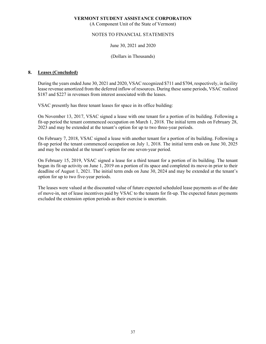(A Component Unit of the State of Vermont)

# NOTES TO FINANCIAL STATEMENTS

# June 30, 2021 and 2020

### (Dollars in Thousands)

# **8. Leases (Concluded)**

During the years ended June 30, 2021 and 2020, VSAC recognized \$711 and \$704, respectively, in facility lease revenue amortized from the deferred inflow of resources. During these same periods, VSAC realized \$187 and \$227 in revenues from interest associated with the leases.

VSAC presently has three tenant leases for space in its office building:

 On November 13, 2017, VSAC signed a lease with one tenant for a portion of its building. Following a fit-up period the tenant commenced occupation on March 1, 2018. The initial term ends on February 28, 2023 and may be extended at the tenant's option for up to two three-year periods.

 On February 7, 2018, VSAC signed a lease with another tenant for a portion of its building. Following a fit-up period the tenant commenced occupation on July 1, 2018. The initial term ends on June 30, 2025 and may be extended at the tenant's option for one seven-year period.

 On February 15, 2019, VSAC signed a lease for a third tenant for a portion of its building. The tenant began its fit-up activity on June 1, 2019 on a portion of its space and completed its move-in prior to their deadline of August 1, 2021. The initial term ends on June 30, 2024 and may be extended at the tenant's option for up to two five-year periods.

 The leases were valued at the discounted value of future expected scheduled lease payments as of the date of move-in, net of lease incentives paid by VSAC to the tenants for fit-up. The expected future payments excluded the extension option periods as their exercise is uncertain.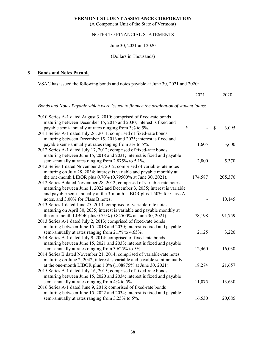(A Component Unit of the State of Vermont)

# NOTES TO FINANCIAL STATEMENTS

# June 30, 2021 and 2020

# (Dollars in Thousands)

# **9. Bonds and Notes Payable**

VSAC has issued the following bonds and notes payable at June 30, 2021 and 2020:

|                                                                                                                                           | 2021    | 2020        |
|-------------------------------------------------------------------------------------------------------------------------------------------|---------|-------------|
| Bonds and Notes Payable which were issued to finance the origination of student loans:                                                    |         |             |
| 2010 Series A-1 dated August 3, 2010; comprised of fixed-rate bonds<br>maturing between December 15, 2015 and 2030; interest is fixed and |         |             |
| payable semi-annually at rates ranging from 3% to 5%.                                                                                     | \$      | \$<br>3,095 |
| 2011 Series A-1 dated July 26, 2011; comprised of fixed-rate bonds                                                                        |         |             |
| maturing between December 15, 2013 and 2025; interest is fixed and                                                                        |         |             |
| payable semi-annually at rates ranging from 3% to 5%.                                                                                     | 1,605   | 3,600       |
| 2012 Series A-1 dated July 17, 2012; comprised of fixed-rate bonds                                                                        |         |             |
| maturing between June 15, 2018 and 2031; interest is fixed and payable                                                                    |         |             |
| semi-annually at rates ranging from 2.875% to 5.1%.                                                                                       | 2,800   | 5,370       |
| 2012 Series 1 dated November 28, 2012; comprised of variable-rate notes                                                                   |         |             |
| maturing on July 28, 2034; interest is variable and payable monthly at                                                                    |         |             |
| the one-month LIBOR plus 0.70% (0.79500% at June 30, 2021).                                                                               | 174,587 | 205,370     |
| 2012 Series B dated November 28, 2012; comprised of variable-rate notes                                                                   |         |             |
| maturing between June 1, 2022 and December 3, 2035; interest is variable                                                                  |         |             |
| and payable semi-annually at the 3-month LIBOR plus 1.50% for Class A                                                                     |         |             |
| notes, and 3.00% for Class B notes.                                                                                                       |         | 10,145      |
| 2013 Series 1 dated June 25, 2013; comprised of variable-rate notes                                                                       |         |             |
| maturing on April 30, 2035; interest is variable and payable monthly at                                                                   |         |             |
| the one-month LIBOR plus 0.75% (0.84500% at June 30, 2021).                                                                               | 78,198  | 91,759      |
| 2013 Series A-1 dated July 2, 2013; comprised of fixed-rate bonds                                                                         |         |             |
| maturing between June 15, 2018 and 2030; interest is fixed and payable                                                                    |         |             |
| semi-annually at rates ranging from 2.1% to 4.65%.                                                                                        | 2,125   | 3,220       |
| 2014 Series A-1 dated July 9, 2014; comprised of fixed-rate bonds                                                                         |         |             |
| maturing between June 15, 2021 and 2033; interest is fixed and payable                                                                    |         |             |
| semi-annually at rates ranging from 3.625% to 5%.                                                                                         | 12,460  | 16,030      |
| 2014 Series B dated November 21, 2014; comprised of variable-rate notes                                                                   |         |             |
| maturing on June 2, 2042; interest is variable and payable semi-annually                                                                  |         |             |
| at the one-month LIBOR plus 1.0% (1.08875% at June 30, 2021).                                                                             | 18,274  | 21,657      |
| 2015 Series A-1 dated July 16, 2015; comprised of fixed-rate bonds                                                                        |         |             |
| maturing between June 15, 2020 and 2034; interest is fixed and payable                                                                    | 11,075  | 13,630      |
| semi-annually at rates ranging from 4% to 5%.<br>2016 Series A-1 dated June 9, 2016; comprised of fixed-rate bonds                        |         |             |
| maturing between June 15, 2022 and 2034; interest is fixed and payable                                                                    |         |             |
| semi-annually at rates ranging from 3.25% to 5%.                                                                                          | 16,530  | 20,085      |
|                                                                                                                                           |         |             |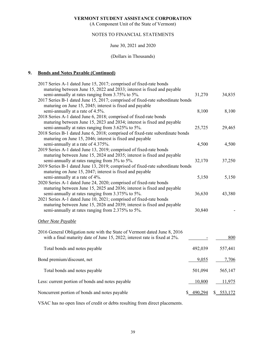(A Component Unit of the State of Vermont)

# NOTES TO FINANCIAL STATEMENTS

# June 30, 2021 and 2020

#### (Dollars in Thousands)

# **9. Bonds and Notes Payable (Continued)**

| 2017 Series A-1 dated June 15, 2017; comprised of fixed-rate bonds                                                         |                |            |
|----------------------------------------------------------------------------------------------------------------------------|----------------|------------|
| maturing between June 15, 2022 and 2033; interest is fixed and payable<br>semi-annually at rates ranging from 3.75% to 5%. | 31,270         | 34,835     |
| 2017 Series B-1 dated June 15, 2017; comprised of fixed-rate subordinate bonds                                             |                |            |
| maturing on June 15, 2045; interest is fixed and payable                                                                   |                |            |
| semi-annually at a rate of 4.5%.                                                                                           | 8,100          | 8,100      |
|                                                                                                                            |                |            |
| 2018 Series A-1 dated June 6, 2018; comprised of fixed-rate bonds                                                          |                |            |
| maturing between June 15, 2023 and 2034; interest is fixed and payable                                                     |                |            |
| semi-annually at rates ranging from 3.625% to 5%.                                                                          | 25,725         | 29,465     |
| 2018 Series B-1 dated June 6, 2018; comprised of fixed-rate subordinate bonds                                              |                |            |
| maturing on June 15, 2046; interest is fixed and payable                                                                   |                |            |
| semi-annually at a rate of 4.375%.                                                                                         | 4,500          | 4,500      |
| 2019 Series A-1 dated June 13, 2019; comprised of fixed-rate bonds                                                         |                |            |
| maturing between June 15, 2024 and 2035; interest is fixed and payable                                                     |                |            |
| semi-annually at rates ranging from 3% to 5%.                                                                              | 32,170         | 37,250     |
| 2019 Series B-1 dated June 13, 2019; comprised of fixed-rate subordinate bonds                                             |                |            |
| maturing on June 15, 2047; interest is fixed and payable                                                                   |                |            |
| semi-annually at a rate of 4%.                                                                                             | 5,150          | 5,150      |
| 2020 Series A-1 dated June 24, 2020; comprised of fixed-rate bonds                                                         |                |            |
| maturing between June 15, 2025 and 2036; interest is fixed and payable                                                     |                |            |
| semi-annually at rates ranging from 3.375% to 5%.                                                                          | 36,630         | 43,380     |
| 2021 Series A-1 dated June 10, 2021; comprised of fixed-rate bonds                                                         |                |            |
| maturing between June 15, 2026 and 2039; interest is fixed and payable                                                     |                |            |
| semi-annually at rates ranging from 2.375% to 5%.                                                                          | 30,840         |            |
|                                                                                                                            |                |            |
| <b>Other Note Payable</b>                                                                                                  |                |            |
|                                                                                                                            |                |            |
| 2016 General Obligation note with the State of Vermont dated June 8, 2016                                                  |                |            |
| with a final maturity date of June 15, 2022; interest rate is fixed at 2%.                                                 |                | 800        |
|                                                                                                                            |                |            |
| Total bonds and notes payable                                                                                              | 492,039        | 557,441    |
| Bond premium/discount, net                                                                                                 | 9,055          | 7,706      |
|                                                                                                                            |                |            |
| Total bonds and notes payable                                                                                              | 501,094        | 565,147    |
|                                                                                                                            |                |            |
| Less: current portion of bonds and notes payable                                                                           | 10,800         | 11,975     |
|                                                                                                                            |                |            |
| Noncurrent portion of bonds and notes payable                                                                              | 490,294<br>\$. | \$ 553,172 |

VSAC has no open lines of credit or debts resulting from direct placements.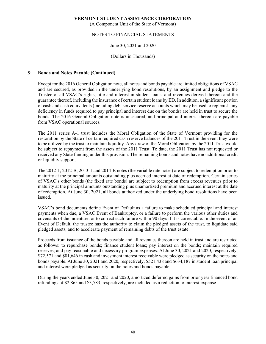(A Component Unit of the State of Vermont)

# NOTES TO FINANCIAL STATEMENTS

# June 30, 2021 and 2020

### (Dollars in Thousands)

# **9. Bonds and Notes Payable (Continued)**

Except for the 2016 General Obligation note, all notes and bonds payable are limited obligations of VSAC and are secured, as provided in the underlying bond resolutions, by an assignment and pledge to the Trustee of all VSAC's rights, title and interest in student loans, and revenues derived thereon and the guarantee thereof, including the insurance of certain student loans by ED. In addition, a significant portion of cash and cash equivalents (including debt service reserve accounts which may be used to replenish any deficiency in funds required to pay principal and interest due on the bonds) are held in trust to secure the bonds. The 2016 General Obligation note is unsecured, and principal and interest thereon are payable from VSAC operational sources.

The 2011 series A-1 trust includes the Moral Obligation of the State of Vermont providing for the restoration by the State of certain required cash reserve balances of the 2011 Trust in the event they were to be utilized by the trust to maintain liquidity. Any draw of the Moral Obligation by the 2011 Trust would be subject to repayment from the assets of the 2011 Trust. To date, the 2011 Trust has not requested or received any State funding under this provision. The remaining bonds and notes have no additional credit or liquidity support.

The 2012-1, 2012-B, 2013-1 and 2014-B notes (the variable rate notes) are subject to redemption prior to maturity at the principal amounts outstanding plus accrued interest at date of redemption. Certain series of VSAC's other bonds (the fixed rate bonds) are subject to redemption from excess revenues prior to maturity at the principal amounts outstanding plus unamortized premium and accrued interest at the date of redemption. At June 30, 2021, all bonds authorized under the underlying bond resolutions have been issued.

VSAC's bond documents define Event of Default as a failure to make scheduled principal and interest payments when due, a VSAC Event of Bankruptcy, or a failure to perform the various other duties and covenants of the indenture, or to correct such failure within 90 days if it is correctable. In the event of an Event of Default, the trustee has the authority to claim the pledged assets of the trust, to liquidate said pledged assets, and to accelerate payment of remaining debts of the trust estate.

Proceeds from issuance of the bonds payable and all revenues thereon are held in trust and are restricted as follows: to repurchase bonds; finance student loans; pay interest on the bonds; maintain required reserves; and pay reasonable and necessary program expenses. At June 30, 2021 and 2020, respectively, \$72,571 and \$81,646 in cash and investment interest receivable were pledged as security on the notes and bonds payable. At June 30, 2021 and 2020, respectively, \$521,438 and \$634,187 in student loan principal and interest were pledged as security on the notes and bonds payable.

During the years ended June 30, 2021 and 2020, amortized deferred gains from prior year financed bond refundings of \$2,865 and \$3,783, respectively, are included as a reduction to interest expense.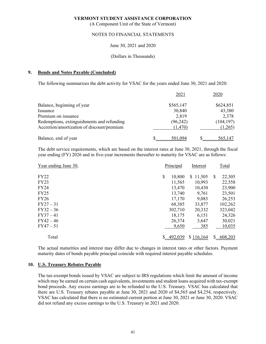(A Component Unit of the State of Vermont)

# NOTES TO FINANCIAL STATEMENTS

# June 30, 2021 and 2020

#### (Dollars in Thousands)

#### **9. Bonds and Notes Payable (Concluded)**

The following summarizes the debt activity for VSAC for the years ended June 30, 2021 and 2020:

|                                            | 2021      | 2020       |
|--------------------------------------------|-----------|------------|
| Balance, beginning of year                 | \$565,147 | \$624,851  |
| Issuance                                   | 30,840    | 43,380     |
| Premium on issuance                        | 2,819     | 2,378      |
| Redemptions, extinguishments and refunding | (96, 242) | (104, 197) |
| Accretion/amortization of discount/premium | (1,470)   | (1,265)    |
| Balance, end of year                       | 501,094   | 565,147    |

The debt service requirements, which are based on the interest rates at June 30, 2021, through the fiscal year ending (FY) 2026 and in five-year increments thereafter to maturity for VSAC are as follows:

| Year ending June 30, | Principal    | Interest     |    | Total   |
|----------------------|--------------|--------------|----|---------|
| <b>FY22</b>          | \$<br>10,800 | 11,505<br>S. | S  | 22,305  |
| <b>FY23</b>          | 11,565       | 10,993       |    | 22,558  |
| <b>FY24</b>          | 13,470       | 10,430       |    | 23,900  |
| <b>FY25</b>          | 13,740       | 9,761        |    | 23,501  |
| <b>FY26</b>          | 17,170       | 9,083        |    | 26,253  |
| $FY27 - 31$          | 68,385       | 33,877       |    | 102,262 |
| $FY32 - 36$          | 302,710      | 20,332       |    | 323,042 |
| $FY37 - 41$          | 18,175       | 6,151        |    | 24,326  |
| $FY42 - 46$          | 26,374       | 3,647        |    | 30,021  |
| $FY47 - 51$          | 9,650        | 385          |    | 10,035  |
| Total                | 492,039      | \$116,164    | S. | 608,203 |

The actual maturities and interest may differ due to changes in interest rates or other factors. Payment maturity dates of bonds payable principal coincide with required interest payable schedules.

#### **10. U.S. Treasury Rebates Payable**

The tax-exempt bonds issued by VSAC are subject to IRS regulations which limit the amount of income which may be earned on certain cash equivalents, investments and student loans acquired with tax-exempt bond proceeds. Any excess earnings are to be refunded to the U.S. Treasury. VSAC has calculated that there are U.S. Treasury rebates payable at June 30, 2021 and 2020 of \$4,565 and \$4,254, respectively. VSAC has calculated that there is no estimated current portion at June 30, 2021 or June 30, 2020. VSAC did not refund any excess earnings to the U.S. Treasury in 2021 and 2020.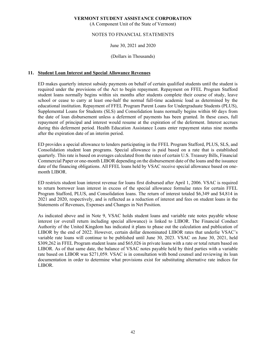(A Component Unit of the State of Vermont)

# NOTES TO FINANCIAL STATEMENTS

# June 30, 2021 and 2020

### (Dollars in Thousands)

# **11. Student Loan Interest and Special Allowance Revenues**

ED makes quarterly interest subsidy payments on behalf of certain qualified students until the student is required under the provisions of the Act to begin repayment. Repayment on FFEL Program Stafford student loans normally begins within six months after students complete their course of study, leave school or cease to carry at least one-half the normal full-time academic load as determined by the educational institution. Repayment of FFEL Program Parent Loans for Undergraduate Students (PLUS), Supplemental Loans for Students (SLS) and Consolidation loans normally begins within 60 days from the date of loan disbursement unless a deferment of payments has been granted. In these cases, full repayment of principal and interest would resume at the expiration of the deferment. Interest accrues during this deferment period. Health Education Assistance Loans enter repayment status nine months after the expiration date of an interim period.

ED provides a special allowance to lenders participating in the FFEL Program Stafford, PLUS, SLS, and Consolidation student loan programs. Special allowance is paid based on a rate that is established quarterly. This rate is based on averages calculated from the rates of certain U.S. Treasury Bills, Financial Commercial Paper or one-month LIBOR depending on the disbursement date of the loans and the issuance date of the financing obligations. All FFEL loans held by VSAC receive special allowance based on onemonth LIBOR.

ED restricts student loan interest revenue for loans first disbursed after April 1, 2006. VSAC is required to return borrower loan interest in excess of the special allowance formulae rates for certain FFEL Program Stafford, PLUS, and Consolidation loans. The return of interest totaled \$6,349 and \$4,814 in 2021 and 2020, respectively, and is reflected as a reduction of interest and fees on student loans in the Statements of Revenues, Expenses and Changes in Net Position.

As indicated above and in Note 9, VSAC holds student loans and variable rate notes payable whose interest (or overall return including special allowance) is linked to LIBOR. The Financial Conduct Authority of the United Kingdom has indicated it plans to phase out the calculation and publication of LIBOR by the end of 2022. However, certain dollar denominated LIBOR rates that underlie VSAC's variable rate loans will continue to be published until June 30, 2023. VSAC on June 30, 2021, held \$309,262 in FFEL Program student loans and \$65,026 in private loans with a rate or total return based on LIBOR. As of that same date, the balance of VSAC notes payable held by third parties with a variable rate based on LIBOR was \$271,059. VSAC is in consultation with bond counsel and reviewing its loan documentation in order to determine what provisions exist for substituting alternative rate indices for LIBOR.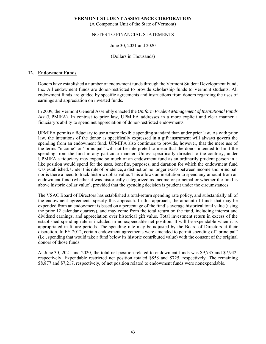(A Component Unit of the State of Vermont)

# NOTES TO FINANCIAL STATEMENTS

# June 30, 2021 and 2020

(Dollars in Thousands)

# **12. Endowment Funds**

Donors have established a number of endowment funds through the Vermont Student Development Fund, Inc. All endowment funds are donor-restricted to provide scholarship funds to Vermont students. All endowment funds are guided by specific agreements and instructions from donors regarding the uses of earnings and appreciation on invested funds.

In 2009, the Vermont General Assembly enacted the *Uniform Prudent Management of Institutional Funds Act* (UPMIFA). In contrast to prior law, UPMIFA addresses in a more explicit and clear manner a fiduciary's ability to spend net appreciation of donor-restricted endowments.

UPMIFA permits a fiduciary to use a more flexible spending standard than under prior law. As with prior law, the intentions of the donor as specifically expressed in a gift instrument will always govern the spending from an endowment fund. UPMIFA also continues to provide, however, that the mere use of the terms "income" or "principal" will not be interpreted to mean that the donor intended to limit the spending from the fund in any particular manner. Unless specifically directed to the contrary, under UPMIFA a fiduciary may expend so much of an endowment fund as an ordinarily prudent person in a like position would spend for the uses, benefits, purposes, and duration for which the endowment fund was established. Under this rule of prudence, a distinction no longer exists between income and principal, nor is there a need to track historic dollar value. This allows an institution to spend any amount from an endowment fund (whether it was historically categorized as income or principal or whether the fund is above historic dollar value), provided that the spending decision is prudent under the circumstances.

The VSAC Board of Directors has established a total-return spending rate policy, and substantially all of the endowment agreements specify this approach. In this approach, the amount of funds that may be expended from an endowment is based on a percentage of the fund's average historical total value (using the prior 12 calendar quarters), and may come from the total return on the fund, including interest and dividend earnings, and appreciation over historical gift value. Total investment return in excess of the established spending rate is included in nonexpendable net position. It will be expendable when it is appropriated in future periods. The spending rate may be adjusted by the Board of Directors at their discretion. In FY 2012, certain endowment agreements were amended to permit spending of "principal" (i.e., spending that would take a fund below its historic contributed value) with the consent of the original donors of those funds.

At June 30, 2021 and 2020, the total net position related to endowment funds was \$9,735 and \$7,942, respectively. Expendable restricted net position totaled \$858 and \$725, respectively. The remaining \$8,877 and \$7,217, respectively, of net position related to endowment funds were nonexpendable.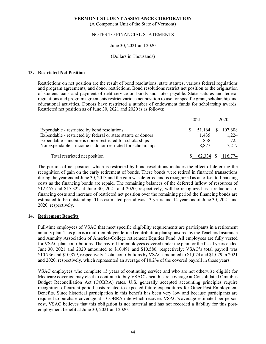(A Component Unit of the State of Vermont)

# NOTES TO FINANCIAL STATEMENTS

# June 30, 2021 and 2020

#### (Dollars in Thousands)

### **13. Restricted Net Position**

Restrictions on net position are the result of bond resolutions, state statutes, various federal regulations and program agreements, and donor restrictions. Bond resolutions restrict net position to the origination of student loans and payment of debt service on bonds and notes payable. State statutes and federal regulations and program agreements restrict various net position to use for specific grant, scholarship and educational activities. Donors have restricted a number of endowment funds for scholarship awards. Restricted net position as of June 30, 2021 and 2020 is as follows:

|                                                               | 2021   |              | 2020      |
|---------------------------------------------------------------|--------|--------------|-----------|
| Expendable - restricted by bond resolutions                   | 51,164 | <sup>S</sup> | 107,608   |
| Expendable - restricted by federal or state statute or donors | 1,435  |              | 1,224     |
| Expendable – income is donor restricted for scholarships      | 858    |              | 725       |
| Nonexpendable $-$ income is donor restricted for scholarships | 8.877  |              | 7,217     |
| Total restricted net position                                 | 62.334 |              | \$116,774 |

The portion of net position which is restricted by bond resolutions includes the effect of deferring the recognition of gain on the early retirement of bonds. These bonds were retired in financed transactions during the year ended June 30, 2013 and the gain was deferred and is recognized as an offset to financing costs as the financing bonds are repaid. The remaining balances of the deferred inflow of resources of \$12,457 and \$15,322 at June 30, 2021 and 2020, respectively, will be recognized as a reduction of financing costs and increase of restricted net position over the remaining period the financing bonds are estimated to be outstanding. This estimated period was 13 years and 14 years as of June 30, 2021 and 2020, respectively.

# **14. Retirement Benefits**

Full-time employees of VSAC that meet specific eligibility requirements are participants in a retirement annuity plan. This plan is a multi-employer defined contribution plan sponsored by the Teachers Insurance and Annuity Association of America-College retirement Equities Fund. All employees are fully vested for VSAC plan contributions. The payroll for employees covered under the plan for the fiscal years ended June 30, 2021 and 2020 amounted to \$10,491 and \$10,580, respectively; VSAC's total payroll was \$10,736 and \$10,879, respectively. Total contributions by VSAC amounted to \$1,074 and \$1,079 in 2021 and 2020, respectively, which represented an average of 10.2% of the covered payroll in those years.

VSAC employees who complete 15 years of continuing service and who are not otherwise eligible for Medicare coverage may elect to continue to buy VSAC's health care coverage at Consolidated Omnibus Budget Reconciliation Act (COBRA) rates. U.S. generally accepted accounting principles require recognition of current period costs related to expected future expenditures for Other Post-Employment Benefits. Since historical participation in this benefit has been very low and because participants are required to purchase coverage at a COBRA rate which recovers VSAC's average estimated per person cost, VSAC believes that this obligation is not material and has not recorded a liability for this postemployment benefit at June 30, 2021 and 2020.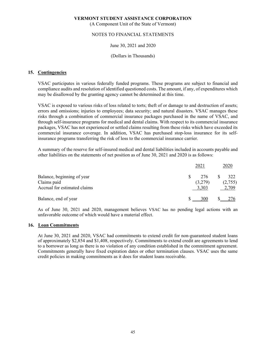(A Component Unit of the State of Vermont)

# NOTES TO FINANCIAL STATEMENTS

# June 30, 2021 and 2020

# (Dollars in Thousands)

### **15. Contingencies**

VSAC participates in various federally funded programs. These programs are subject to financial and compliance audits and resolution of identified questioned costs. The amount, if any, of expenditures which may be disallowed by the granting agency cannot be determined at this time.

VSAC is exposed to various risks of loss related to torts; theft of or damage to and destruction of assets; errors and omissions; injuries to employees; data security; and natural disasters. VSAC manages these risks through a combination of commercial insurance packages purchased in the name of VSAC, and through self-insurance programs for medical and dental claims. With respect to its commercial insurance packages, VSAC has not experienced or settled claims resulting from these risks which have exceeded its commercial insurance coverage. In addition, VSAC has purchased stop-loss insurance for its selfinsurance programs transferring the risk of loss to the commercial insurance carrier.

A summary of the reserve for self-insured medical and dental liabilities included in accounts payable and other liabilities on the statements of net position as of June 30, 2021 and 2020 is as follows:

|                                                                           | 2021                    | 2020                    |
|---------------------------------------------------------------------------|-------------------------|-------------------------|
| Balance, beginning of year<br>Claims paid<br>Accrual for estimated claims | 276<br>(3,279)<br>3,303 | 322<br>(2,755)<br>2,709 |
| Balance, end of year                                                      | 300                     |                         |

As of June 30, 2021 and 2020, management believes VSAC has no pending legal actions with an unfavorable outcome of which would have a material effect.

#### **16. Loan Commitments**

At June 30, 2021 and 2020, VSAC had commitments to extend credit for non-guaranteed student loans of approximately \$2,854 and \$1,408, respectively. Commitments to extend credit are agreements to lend to a borrower as long as there is no violation of any condition established in the commitment agreement. Commitments generally have fixed expiration dates or other termination clauses. VSAC uses the same credit policies in making commitments as it does for student loans receivable.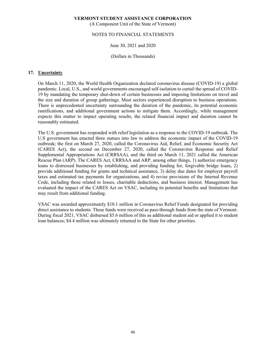(A Component Unit of the State of Vermont)

# NOTES TO FINANCIAL STATEMENTS

# June 30, 2021 and 2020

(Dollars in Thousands)

#### **17. Uncertainty**

On March 11, 2020, the World Health Organization declared coronavirus disease (COVID-19) a global pandemic. Local, U.S., and world governments encouraged self-isolation to curtail the spread of COVID-19 by mandating the temporary shut-down of certain businesses and imposing limitations on travel and the size and duration of group gatherings. Most sectors experienced disruption to business operations. There is unprecedented uncertainty surrounding the duration of the pandemic, its potential economic ramifications, and additional government actions to mitigate them. Accordingly, while management expects this matter to impact operating results, the related financial impact and duration cannot be reasonably estimated.

The U.S. government has responded with relief legislation as a response to the COVID-19 outbreak. The U.S government has enacted three statues into law to address the economic impact of the COVID-19 outbreak; the first on March 27, 2020, called the Coronavirus Aid, Relief, and Economic Security Act (CARES Act), the second on December 27, 2020, called the Coronavirus Response and Relief Supplemental Appropriations Act (CRRSAA), and the third on March 11, 2021 called the American Rescue Plan (ARP). The CARES Act, CRRSAA and ARP, among other things, 1) authorize emergency loans to distressed businesses by establishing, and providing funding for, forgivable bridge loans, 2) provide additional funding for grants and technical assistance, 3) delay due dates for employer payroll taxes and estimated tax payments for organizations, and 4) revise provisions of the Internal Revenue Code, including those related to losses, charitable deductions, and business interest. Management has evaluated the impact of the CARES Act on VSAC, including its potential benefits and limitations that may result from additional funding.

VSAC was awarded approximately \$10.1 million in Coronavirus Relief Funds designated for providing direct assistance to students. These funds were received as pass-through funds from the state of Vermont. During fiscal 2021, VSAC disbursed \$5.6 million of this as additional student aid or applied it to student loan balances; \$4.4 million was ultimately returned to the State for other priorities.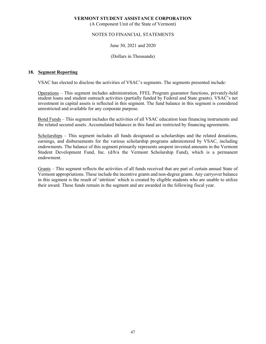(A Component Unit of the State of Vermont)

# NOTES TO FINANCIAL STATEMENTS

# June 30, 2021 and 2020

#### (Dollars in Thousands)

#### **18. Segment Reporting**

VSAC has elected to disclose the activities of VSAC's segments. The segments presented include:

Operations – This segment includes administration, FFEL Program guarantor functions, privately-held student loans and student outreach activities (partially funded by Federal and State grants). VSAC's net investment in capital assets is reflected in this segment. The fund balance in this segment is considered unrestricted and available for any corporate purpose.

Bond Funds – This segment includes the activities of all VSAC education loan financing instruments and the related secured assets. Accumulated balances in this fund are restricted by financing agreements.

Scholarships - This segment includes all funds designated as scholarships and the related donations, earnings, and disbursements for the various scholarship programs administered by VSAC, including endowments. The balance of this segment primarily represents unspent invested amounts in the Vermont Student Development Fund, Inc. (d/b/a the Vermont Scholarship Fund), which is a permanent endowment.

Grants – This segment reflects the activities of all funds received that are part of certain annual State of Vermont appropriations. These include the incentive grants and non-degree grants. Any carryover balance in this segment is the result of 'attrition' which is created by eligible students who are unable to utilize their award. These funds remain in the segment and are awarded in the following fiscal year.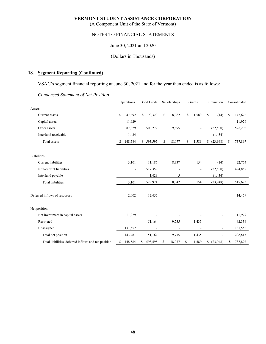(A Component Unit of the State of Vermont)

# NOTES TO FINANCIAL STATEMENTS

June 30, 2021 and 2020

#### (Dollars in Thousands)

# **18. Segment Reporting (Continued)**

VSAC's segment financial reporting at June 30, 2021 and for the year then ended is as follows:

|                                                      | Operations |                          | <b>Bond Funds</b> |           | Scholarships |                          | Grants |                | Elimination              | Consolidated  |         |
|------------------------------------------------------|------------|--------------------------|-------------------|-----------|--------------|--------------------------|--------|----------------|--------------------------|---------------|---------|
| Assets                                               |            |                          |                   |           |              |                          |        |                |                          |               |         |
| Current assets                                       | \$         | 47,392                   | \$                | 90,323    | \$           | 8,382                    | \$     | 1,589          | S<br>(14)                | <sup>\$</sup> | 147,672 |
| Capital assets                                       |            | 11,929                   |                   |           |              |                          |        |                |                          |               | 11,929  |
| Other assets                                         |            | 87,829                   |                   | 503,272   |              | 9,695                    |        |                | (22,500)                 |               | 578,296 |
| Interfund receivable                                 |            | 1,434                    |                   |           |              |                          |        |                | (1, 434)                 |               |         |
| Total assets                                         | S          | 148,584                  |                   | \$593,595 | \$           | 18,077                   | \$     | 1,589          | (23,948)<br>\$           | \$            | 737,897 |
|                                                      |            |                          |                   |           |              |                          |        |                |                          |               |         |
| Liabilities                                          |            |                          |                   |           |              |                          |        |                |                          |               |         |
| Current liabilities                                  |            | 3,101                    |                   | 11,186    |              | 8,337                    |        | 154            | (14)                     |               | 22,764  |
| Non-current liabilities                              |            | $\overline{a}$           |                   | 517,359   |              | $\overline{\phantom{a}}$ |        | $\overline{a}$ | (22,500)                 |               | 494,859 |
| Interfund payable                                    |            | $\overline{a}$           |                   | 1,429     |              | 5                        |        |                | (1, 434)                 |               | ۰       |
| <b>Total liabilities</b>                             |            | 3,101                    |                   | 529,974   |              | 8,342                    |        | 154            | (23,948)                 |               | 517,623 |
| Deferred inflows of resources                        |            | 2,002                    |                   | 12,457    |              |                          |        |                |                          |               | 14,459  |
| Net position                                         |            |                          |                   |           |              |                          |        |                |                          |               |         |
| Net investment in capital assets                     |            | 11,929                   |                   |           |              |                          |        |                |                          |               | 11,929  |
| Restricted                                           |            | $\overline{\phantom{a}}$ |                   | 51,164    |              | 9,735                    |        | 1,435          | $\overline{a}$           |               | 62,334  |
| Unassigned                                           |            | 131,552                  |                   |           |              |                          |        |                | ٠                        |               | 131,552 |
| Total net position                                   |            | 143,481                  |                   | 51,164    |              | 9,735                    |        | 1,435          | $\overline{\phantom{a}}$ |               | 208,815 |
| Total liabilities, deferred inflows and net position | \$         | 148,584                  | \$                | 593,595   | \$           | 18,077                   | \$     | 1,589          | \$<br>(23,948)           | \$            | 737,897 |

# *Condensed Statement of Net Position*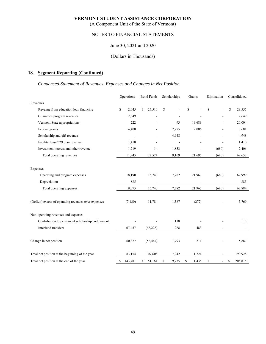(A Component Unit of the State of Vermont)

# NOTES TO FINANCIAL STATEMENTS

# June 30, 2021 and 2020

### (Dollars in Thousands)

# **18. Segment Reporting (Continued)**

# *Condensed Statement of Revenues, Expenses and Changes in Net Position*

|                                                      | Operations    | <b>Bond Funds</b> | Scholarships             | Grants                   | Elimination                    | Consolidated |
|------------------------------------------------------|---------------|-------------------|--------------------------|--------------------------|--------------------------------|--------------|
| Revenues                                             |               |                   |                          |                          |                                |              |
| Revenue from education loan financing                | S.<br>2,045   | \$<br>27,510      | $\mathbf S$              | \$                       | $\mathbf S$                    | S<br>29,555  |
| Guarantee program revenues                           | 2,649         |                   |                          |                          |                                | 2,649        |
| Vermont State appropriations                         | 222           |                   | 93                       | 19,689                   |                                | 20,004       |
| Federal grants                                       | 4,400         |                   | 2,275                    | 2,006                    |                                | 8,681        |
| Scholarship and gift revenue                         | ÷             | ÷                 | 4,948                    |                          | ٠                              | 4,948        |
| Facility lease/529 plan revenue                      | 1,410         |                   | ÷,                       |                          |                                | 1,410        |
| Investment interest and other revenue                | 1,219         | 14                | 1,853                    | $\overline{\phantom{a}}$ | (680)                          | 2,406        |
| Total operating revenues                             | 11,945        | 27,524            | 9,169                    | 21,695                   | (680)                          | 69,653       |
|                                                      |               |                   |                          |                          |                                |              |
| Expenses                                             |               |                   |                          |                          |                                |              |
| Operating and program expenses                       | 18,190        | 15,740            | 7,782                    | 21,967                   | (680)                          | 62,999       |
| Depreciation                                         | 885           |                   | $\overline{\phantom{a}}$ | $\overline{\phantom{a}}$ | $\overline{a}$                 | 885          |
| Total operating expenses                             | 19,075        | 15,740            | 7,782                    | 21,967                   | (680)                          | 63,884       |
| (Deficit) excess of operating revenues over expenses | (7,130)       | 11,784            | 1,387                    | (272)                    |                                | 5,769        |
| Non-operating revenues and expenses                  |               |                   |                          |                          |                                |              |
| Contribution to permanent scholarship endowment      |               |                   | 118                      |                          |                                | 118          |
| Interfund transfers                                  | 67,457        | (68, 228)         | 288                      | 483                      |                                |              |
| Change in net position                               | 60,327        | (56, 444)         | 1,793                    | 211                      |                                | 5,887        |
| Total net position at the beginning of the year      | 83,154        | 107,608           | 7,942                    | 1,224                    |                                | 199,928      |
| Total net position at the end of the year            | \$<br>143,481 | 51,164<br>\$      | \$<br>9,735              | S<br>1,435               | \$<br>$\overline{\phantom{a}}$ | S<br>205,815 |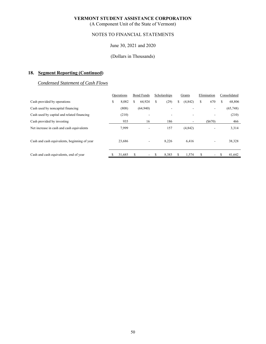(A Component Unit of the State of Vermont)

# NOTES TO FINANCIAL STATEMENTS

# June 30, 2021 and 2020

# (Dollars in Thousands)

# **18. Segment Reporting (Continued)**

# *Condensed Statement of Cash Flows*

|                                              | Operations  |   | <b>Bond Funds</b>        |   | Scholarships |    | Grants   |    | Elimination |   | Consolidated |  |
|----------------------------------------------|-------------|---|--------------------------|---|--------------|----|----------|----|-------------|---|--------------|--|
| Cash provided by operations                  | \$<br>8,082 | S | 64,924                   | S | (29)         | \$ | (4, 842) | \$ | 670         | S | 68,806       |  |
| Cash used by noncapital financing            | (808)       |   | (64, 940)                |   |              |    |          |    | ٠.          |   | (65,748)     |  |
| Cash used by capital and related financing   | (210)       |   | ۰                        |   | ۰            |    |          |    |             |   | (210)        |  |
| Cash provided by investing                   | 935         |   | 16                       |   | 186          |    |          |    | (S670)      |   | 466          |  |
| Net increase in cash and cash equivalents    | 7,999       |   | ۰                        |   | 157          |    | (4, 842) |    | -           |   | 3,314        |  |
| Cash and cash equivalents, beginning of year | 23,686      |   |                          |   | 8,226        |    | 6,416    |    |             |   | 38,328       |  |
| Cash and cash equivalents, end of year       | 31,685      | S | $\overline{\phantom{0}}$ | S | 8,383        | S  | 1,574    |    | ٠.          |   | 41,642       |  |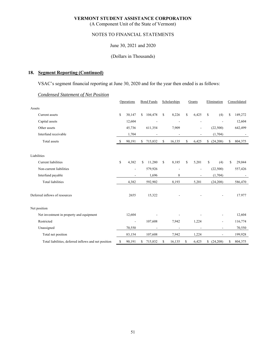(A Component Unit of the State of Vermont)

# NOTES TO FINANCIAL STATEMENTS

June 30, 2021 and 2020

#### (Dollars in Thousands)

# **18. Segment Reporting (Continued)**

VSAC's segment financial reporting at June 30, 2020 and for the year then ended is as follows:

|                                                      |    | Operations     |    | <b>Bond Funds</b> | Scholarships             | Grants      | Elimination              | Consolidated  |
|------------------------------------------------------|----|----------------|----|-------------------|--------------------------|-------------|--------------------------|---------------|
| Assets                                               |    |                |    |                   |                          |             |                          |               |
| Current assets                                       | \$ | 30,147         | \$ | 104,478           | \$<br>8,226              | \$<br>6,425 | \$<br>(4)                | \$<br>149,272 |
| Capital assets                                       |    | 12,604         |    |                   |                          |             |                          | 12,604        |
| Other assets                                         |    | 45,736         |    | 611,354           | 7,909                    | ٠           | (22,500)                 | 642,499       |
| Interfund receivable                                 |    | 1,704          |    |                   |                          |             | (1,704)                  |               |
| Total assets                                         | -S | 90,191         | \$ | 715,832           | \$<br>16,135             | \$<br>6,425 | \$<br>(24,208)           | \$<br>804,375 |
|                                                      |    |                |    |                   |                          |             |                          |               |
| Liabilities                                          |    |                |    |                   |                          |             |                          |               |
| <b>Current</b> liabilities                           | \$ | 4,382          | S  | 11,280            | \$<br>8,185              | \$<br>5,201 | \$<br>(4)                | \$<br>29,044  |
| Non-current liabilities                              |    | $\overline{a}$ |    | 579,926           | $\overline{\phantom{a}}$ | ÷,          | (22,500)                 | 557,426       |
| Interfund payable                                    |    | $\overline{a}$ |    | 1,696             | 8                        |             | (1,704)                  |               |
| <b>Total liabilities</b>                             |    | 4,382          |    | 592,902           | 8,193                    | 5,201       | (24, 208)                | 586,470       |
| Deferred inflows of resources                        |    | 2655           |    | 15,322            |                          |             |                          | 17.977        |
| Net position                                         |    |                |    |                   |                          |             |                          |               |
| Net investment in property and equipment             |    | 12,604         |    |                   |                          |             |                          | 12,604        |
| Restricted                                           |    | $\blacksquare$ |    | 107,608           | 7,942                    | 1,224       | $\overline{\phantom{a}}$ | 116,774       |
| Unassigned                                           |    | 70,550         |    |                   |                          |             | $\overline{\phantom{a}}$ | 70,550        |
| Total net position                                   |    | 83,154         |    | 107,608           | 7,942                    | 1,224       | $\overline{a}$           | 199,928       |
| Total liabilities, deferred inflows and net position | \$ | 90,191         | \$ | 715,832           | \$<br>16,135             | \$<br>6,425 | \$<br>(24,208)           | \$<br>804,375 |

#### *Condensed Statement of Net Position*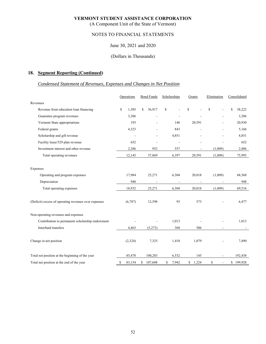(A Component Unit of the State of Vermont)

# NOTES TO FINANCIAL STATEMENTS

### June 30, 2021 and 2020

### (Dollars in Thousands)

# **18. Segment Reporting (Continued)**

# *Condensed Statement of Revenues, Expenses and Changes in Net Position*

|                                                      |    | Operations     |    | <b>Bond Funds</b>        | Scholarships             | Grants         | Elimination | Consolidated |
|------------------------------------------------------|----|----------------|----|--------------------------|--------------------------|----------------|-------------|--------------|
| Revenues                                             |    |                |    |                          |                          |                |             |              |
| Revenue from education loan financing                | S  | 1,305          | S  | 36,917                   | \$                       | \$             | \$          | \$<br>38,222 |
| Guarantee program revenues                           |    | 3,286          |    |                          |                          |                |             | 3,286        |
| Vermont State appropriations                         |    | 193            |    | ÷,                       | 146                      | 20,591         |             | 20,930       |
| Federal grants                                       |    | 4,323          |    |                          | 843                      |                |             | 5,166        |
| Scholarship and gift revenue                         |    | $\blacksquare$ |    | $\overline{\phantom{a}}$ | 4,851                    | ÷              |             | 4,851        |
| Facility lease/529 plan revenue                      |    | 652            |    | ä,                       | L,                       |                |             | 652          |
| Investment interest and other revenue                |    | 2,386          |    | 952                      | 557                      | ٠              | (1,009)     | 2,886        |
| Total operating revenues                             |    | 12,145         |    | 37,869                   | 6,397                    | 20,591         | (1,009)     | 75,993       |
|                                                      |    |                |    |                          |                          |                |             |              |
| Expenses                                             |    |                |    |                          |                          |                |             |              |
| Operating and program expenses                       |    | 17,984         |    | 25,271                   | 6,304                    | 20,018         | (1,009)     | 68,568       |
| Depreciation                                         |    | 948            |    | $\overline{\phantom{a}}$ | $\overline{\phantom{a}}$ | $\overline{a}$ |             | 948          |
| Total operating expenses                             |    | 18,932         |    | 25,271                   | 6,304                    | 20,018         | (1,009)     | 69,516       |
|                                                      |    |                |    |                          |                          |                |             |              |
| (Deficit) excess of operating revenues over expenses |    | (6,787)        |    | 12,598                   | 93                       | 573            |             | 6,477        |
| Non-operating revenues and expenses                  |    |                |    |                          |                          |                |             |              |
| Contribution to permanent scholarship endowment      |    |                |    |                          | 1,013                    |                |             | 1,013        |
| Interfund transfers                                  |    | 4,463          |    | (5,273)                  | 304                      | 506            |             |              |
|                                                      |    |                |    |                          |                          |                |             |              |
| Change in net position                               |    | (2,324)        |    | 7,325                    | 1,410                    | 1,079          |             | 7,490        |
| Total net position at the beginning of the year      |    | 85,478         |    | 100,283                  | 6,532                    | 145            |             | 192,438      |
| Total net position at the end of the year            | \$ | 83,154         | \$ | 107,608                  | \$<br>7,942              | \$<br>1,224    | \$          | \$199,928    |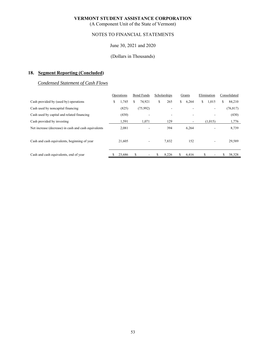(A Component Unit of the State of Vermont)

# NOTES TO FINANCIAL STATEMENTS

# June 30, 2021 and 2020

### (Dollars in Thousands)

# **18. Segment Reporting (Concluded)**

# *Condensed Statement of Cash Flows*

|                                                      |    | Operations | <b>Bond Funds</b> |          | Scholarships |       | Grants |       | Elimination |         | Consolidated |           |
|------------------------------------------------------|----|------------|-------------------|----------|--------------|-------|--------|-------|-------------|---------|--------------|-----------|
| Cash provided by (used by) operations                | S. | 1,745      | S                 | 74.921   | \$           | 265   | S      | 6,264 | S.          | 1,015   | S.           | 84,210    |
| Cash used by noncapital financing                    |    | (825)      |                   | (75,992) |              |       |        |       |             | ۰.      |              | (76, 817) |
| Cash used by capital and related financing           |    | (430)      |                   | ۰        |              | ۰     |        |       |             | ۰       |              | (430)     |
| Cash provided by investing                           |    | 1,591      |                   | 1,071    |              | 129   |        |       |             | (1,015) |              | 1,776     |
| Net increase (decrease) in cash and cash equivalents |    | 2,081      |                   | ٠        |              | 394   |        | 6,264 |             | ۰       |              | 8,739     |
| Cash and cash equivalents, beginning of year         |    | 21,605     |                   |          |              | 7,832 |        | 152   |             | ۰       |              | 29,589    |
| Cash and cash equivalents, end of year               |    | 23,686     |                   |          |              | 8,226 | S.     | 6,416 | S           |         |              | 38,328    |